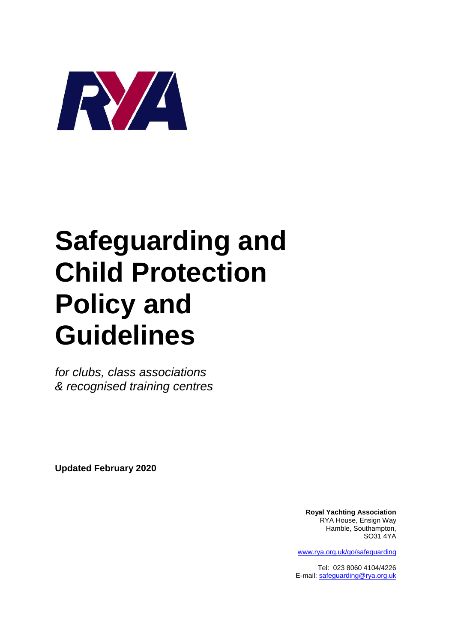

# **Safeguarding and Child Protection Policy and Guidelines**

*for clubs, class associations & recognised training centres*

**Updated February 2020**

**Royal Yachting Association** RYA House, Ensign Way Hamble, Southampton, SO31 4YA

[www.rya.org.uk/go/safeguarding](http://www.rya.org.uk/go/childprotection)

Tel: 023 8060 4104/4226 E-mail[: safeguarding@rya.org.uk](mailto:safeguarding@rya.org.uk)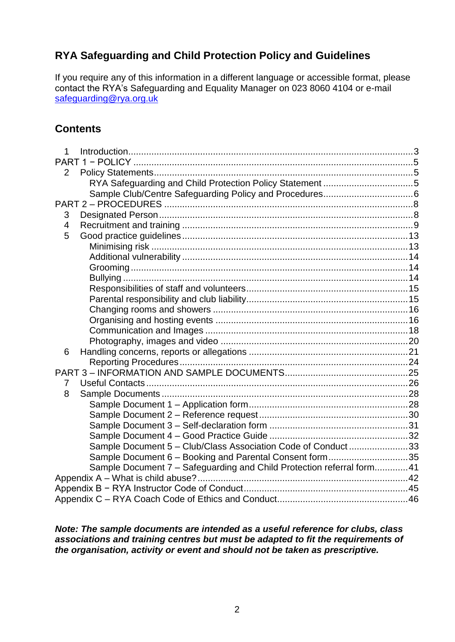# **RYA Safeguarding and Child Protection Policy and Guidelines**

If you require any of this information in a different language or accessible format, please contact the RYA's Safeguarding and Equality Manager on 023 8060 4104 or e-mail [safeguarding@rya.org.uk](mailto:safeguarding@rya.org.uk)

# **Contents**

| 1                                                                     |  |
|-----------------------------------------------------------------------|--|
|                                                                       |  |
| $\overline{2}$                                                        |  |
|                                                                       |  |
|                                                                       |  |
|                                                                       |  |
| 3                                                                     |  |
| 4                                                                     |  |
| 5                                                                     |  |
|                                                                       |  |
|                                                                       |  |
|                                                                       |  |
|                                                                       |  |
|                                                                       |  |
|                                                                       |  |
|                                                                       |  |
|                                                                       |  |
|                                                                       |  |
|                                                                       |  |
| 6                                                                     |  |
|                                                                       |  |
|                                                                       |  |
| $\overline{7}$                                                        |  |
| 8                                                                     |  |
|                                                                       |  |
|                                                                       |  |
|                                                                       |  |
|                                                                       |  |
| Sample Document 5 - Club/Class Association Code of Conduct33          |  |
| Sample Document 6 - Booking and Parental Consent form35               |  |
| Sample Document 7 - Safeguarding and Child Protection referral form41 |  |
|                                                                       |  |
|                                                                       |  |
|                                                                       |  |

#### *Note: The sample documents are intended as a useful reference for clubs, class associations and training centres but must be adapted to fit the requirements of the organisation, activity or event and should not be taken as prescriptive.*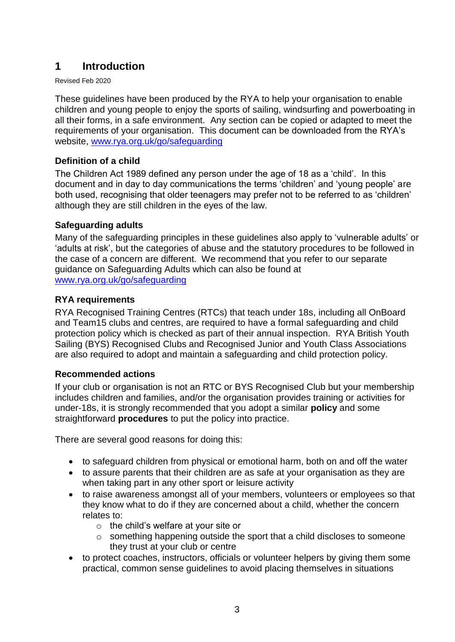# <span id="page-2-0"></span>**1 Introduction**

### Revised Feb 2020

These guidelines have been produced by the RYA to help your organisation to enable children and young people to enjoy the sports of sailing, windsurfing and powerboating in all their forms, in a safe environment. Any section can be copied or adapted to meet the requirements of your organisation. This document can be downloaded from the RYA's website, [www.rya.org.uk/go/safeguarding](http://www.rya.org.uk/go/childprotection)

# **Definition of a child**

The Children Act 1989 defined any person under the age of 18 as a 'child'. In this document and in day to day communications the terms 'children' and 'young people' are both used, recognising that older teenagers may prefer not to be referred to as 'children' although they are still children in the eyes of the law.

# **Safeguarding adults**

Many of the safeguarding principles in these guidelines also apply to 'vulnerable adults' or 'adults at risk', but the categories of abuse and the statutory procedures to be followed in the case of a concern are different. We recommend that you refer to our separate guidance on Safeguarding Adults which can also be found at [www.rya.org.uk/go/safeguarding](http://www.rya.org.uk/go/safeguarding)

# **RYA requirements**

RYA Recognised Training Centres (RTCs) that teach under 18s, including all OnBoard and Team15 clubs and centres, are required to have a formal safeguarding and child protection policy which is checked as part of their annual inspection. RYA British Youth Sailing (BYS) Recognised Clubs and Recognised Junior and Youth Class Associations are also required to adopt and maintain a safeguarding and child protection policy.

# **Recommended actions**

If your club or organisation is not an RTC or BYS Recognised Club but your membership includes children and families, and/or the organisation provides training or activities for under-18s, it is strongly recommended that you adopt a similar **policy** and some straightforward **procedures** to put the policy into practice.

There are several good reasons for doing this:

- to safeguard children from physical or emotional harm, both on and off the water
- to assure parents that their children are as safe at your organisation as they are when taking part in any other sport or leisure activity
- to raise awareness amongst all of your members, volunteers or employees so that they know what to do if they are concerned about a child, whether the concern relates to:
	- $\circ$  the child's welfare at your site or
	- o something happening outside the sport that a child discloses to someone they trust at your club or centre
- to protect coaches, instructors, officials or volunteer helpers by giving them some practical, common sense guidelines to avoid placing themselves in situations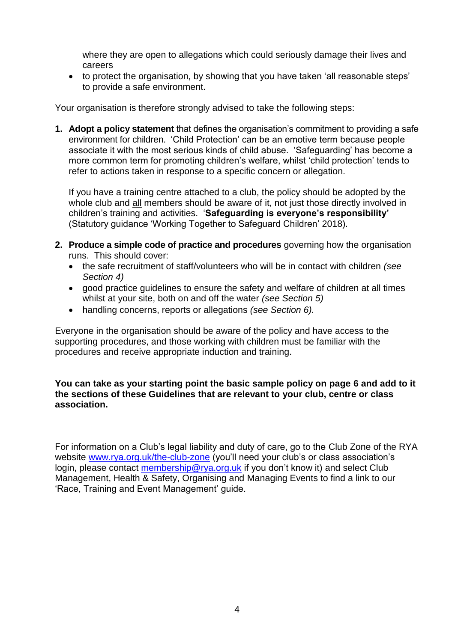where they are open to allegations which could seriously damage their lives and careers

• to protect the organisation, by showing that you have taken 'all reasonable steps' to provide a safe environment.

Your organisation is therefore strongly advised to take the following steps:

**1. Adopt a policy statement** that defines the organisation's commitment to providing a safe environment for children. 'Child Protection' can be an emotive term because people associate it with the most serious kinds of child abuse. 'Safeguarding' has become a more common term for promoting children's welfare, whilst 'child protection' tends to refer to actions taken in response to a specific concern or allegation.

If you have a training centre attached to a club, the policy should be adopted by the whole club and all members should be aware of it, not just those directly involved in children's training and activities. '**Safeguarding is everyone's responsibility'** (Statutory guidance 'Working Together to Safeguard Children' 2018).

- **2. Produce a simple code of practice and procedures** governing how the organisation runs. This should cover:
	- the safe recruitment of staff/volunteers who will be in contact with children *(see Section 4)*
	- good practice guidelines to ensure the safety and welfare of children at all times whilst at your site, both on and off the water *(see Section 5)*
	- handling concerns, reports or allegations *(see Section 6).*

Everyone in the organisation should be aware of the policy and have access to the supporting procedures, and those working with children must be familiar with the procedures and receive appropriate induction and training.

# **You can take as your starting point the basic sample policy on page 6 and add to it the sections of these Guidelines that are relevant to your club, centre or class association.**

For information on a Club's legal liability and duty of care, go to the Club Zone of the RYA website [www.rya.org.uk/the-club-zone](http://www.rya.org.uk/the-club-zone) (you'll need your club's or class association's login, please contact [membership@rya.org.uk](mailto:membership@rya.org.uk) if you don't know it) and select Club Management, Health & Safety, Organising and Managing Events to find a link to our 'Race, Training and Event Management' guide.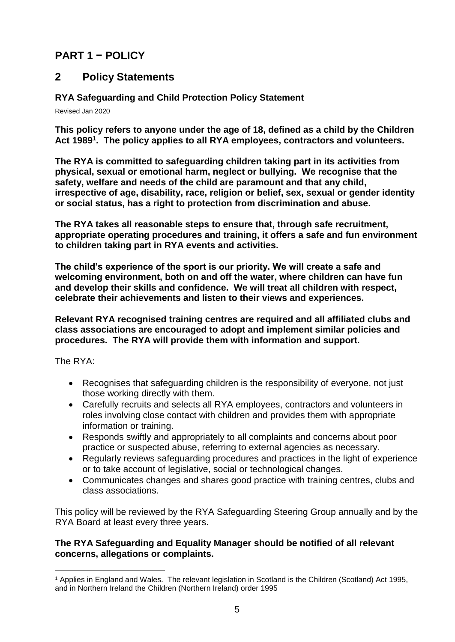# <span id="page-4-0"></span>**PART 1 − POLICY**

# <span id="page-4-1"></span>**2 Policy Statements**

<span id="page-4-2"></span>**RYA Safeguarding and Child Protection Policy Statement**

Revised Jan 2020

**This policy refers to anyone under the age of 18, defined as a child by the Children Act 1989<sup>1</sup> . The policy applies to all RYA employees, contractors and volunteers.** 

**The RYA is committed to safeguarding children taking part in its activities from physical, sexual or emotional harm, neglect or bullying. We recognise that the safety, welfare and needs of the child are paramount and that any child, irrespective of age, disability, race, religion or belief, sex, sexual or gender identity or social status, has a right to protection from discrimination and abuse.** 

**The RYA takes all reasonable steps to ensure that, through safe recruitment, appropriate operating procedures and training, it offers a safe and fun environment to children taking part in RYA events and activities.** 

**The child's experience of the sport is our priority. We will create a safe and welcoming environment, both on and off the water, where children can have fun and develop their skills and confidence. We will treat all children with respect, celebrate their achievements and listen to their views and experiences.**

**Relevant RYA recognised training centres are required and all affiliated clubs and class associations are encouraged to adopt and implement similar policies and procedures. The RYA will provide them with information and support.**

The RYA:

- Recognises that safeguarding children is the responsibility of everyone, not just those working directly with them.
- Carefully recruits and selects all RYA employees, contractors and volunteers in roles involving close contact with children and provides them with appropriate information or training.
- Responds swiftly and appropriately to all complaints and concerns about poor practice or suspected abuse, referring to external agencies as necessary.
- Regularly reviews safeguarding procedures and practices in the light of experience or to take account of legislative, social or technological changes.
- Communicates changes and shares good practice with training centres, clubs and class associations.

This policy will be reviewed by the RYA Safeguarding Steering Group annually and by the RYA Board at least every three years.

# **The RYA Safeguarding and Equality Manager should be notified of all relevant concerns, allegations or complaints.**

<sup>&</sup>lt;u>.</u> <sup>1</sup> Applies in England and Wales. The relevant legislation in Scotland is the Children (Scotland) Act 1995, and in Northern Ireland the Children (Northern Ireland) order 1995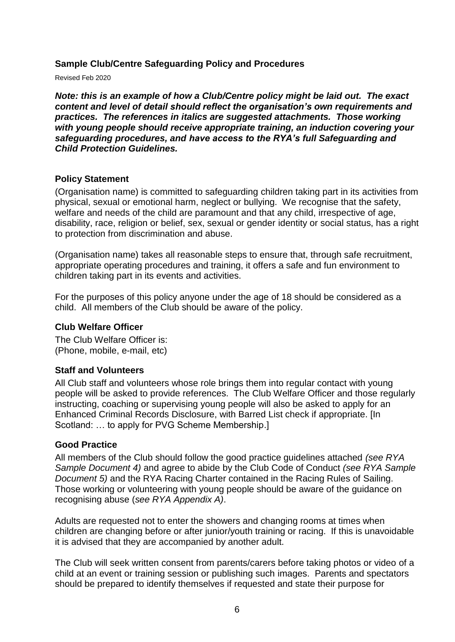### <span id="page-5-0"></span>**Sample Club/Centre Safeguarding Policy and Procedures**

Revised Feb 2020

*Note: this is an example of how a Club/Centre policy might be laid out. The exact content and level of detail should reflect the organisation's own requirements and practices. The references in italics are suggested attachments. Those working with young people should receive appropriate training, an induction covering your safeguarding procedures, and have access to the RYA's full Safeguarding and Child Protection Guidelines.*

### **Policy Statement**

(Organisation name) is committed to safeguarding children taking part in its activities from physical, sexual or emotional harm, neglect or bullying. We recognise that the safety, welfare and needs of the child are paramount and that any child, irrespective of age, disability, race, religion or belief, sex, sexual or gender identity or social status, has a right to protection from discrimination and abuse.

(Organisation name) takes all reasonable steps to ensure that, through safe recruitment, appropriate operating procedures and training, it offers a safe and fun environment to children taking part in its events and activities.

For the purposes of this policy anyone under the age of 18 should be considered as a child. All members of the Club should be aware of the policy.

### **Club Welfare Officer**

The Club Welfare Officer is: (Phone, mobile, e-mail, etc)

### **Staff and Volunteers**

All Club staff and volunteers whose role brings them into regular contact with young people will be asked to provide references. The Club Welfare Officer and those regularly instructing, coaching or supervising young people will also be asked to apply for an Enhanced Criminal Records Disclosure, with Barred List check if appropriate. [In Scotland: ... to apply for PVG Scheme Membership.]

#### **Good Practice**

All members of the Club should follow the good practice guidelines attached *(see RYA Sample Document 4)* and agree to abide by the Club Code of Conduct *(see RYA Sample Document 5)* and the RYA Racing Charter contained in the Racing Rules of Sailing. Those working or volunteering with young people should be aware of the guidance on recognising abuse (*see RYA Appendix A)*.

Adults are requested not to enter the showers and changing rooms at times when children are changing before or after junior/youth training or racing. If this is unavoidable it is advised that they are accompanied by another adult.

The Club will seek written consent from parents/carers before taking photos or video of a child at an event or training session or publishing such images. Parents and spectators should be prepared to identify themselves if requested and state their purpose for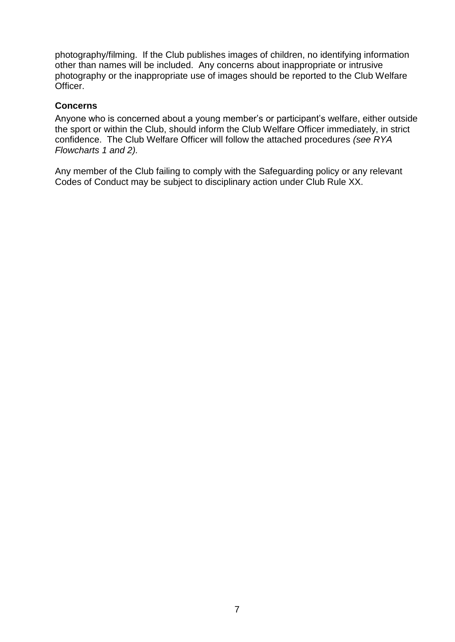photography/filming. If the Club publishes images of children, no identifying information other than names will be included. Any concerns about inappropriate or intrusive photography or the inappropriate use of images should be reported to the Club Welfare Officer.

## **Concerns**

Anyone who is concerned about a young member's or participant's welfare, either outside the sport or within the Club, should inform the Club Welfare Officer immediately, in strict confidence. The Club Welfare Officer will follow the attached procedures *(see RYA Flowcharts 1 and 2).*

Any member of the Club failing to comply with the Safeguarding policy or any relevant Codes of Conduct may be subject to disciplinary action under Club Rule XX.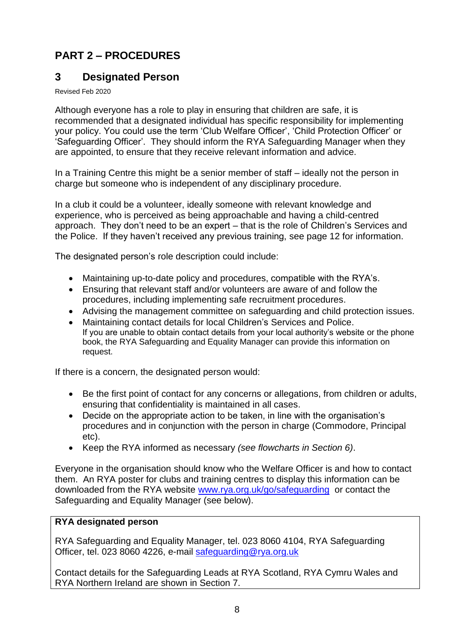# <span id="page-7-0"></span>**PART 2 – PROCEDURES**

# <span id="page-7-1"></span>**3 Designated Person**

Revised Feb 2020

Although everyone has a role to play in ensuring that children are safe, it is recommended that a designated individual has specific responsibility for implementing your policy. You could use the term 'Club Welfare Officer', 'Child Protection Officer' or 'Safeguarding Officer'. They should inform the RYA Safeguarding Manager when they are appointed, to ensure that they receive relevant information and advice.

In a Training Centre this might be a senior member of staff – ideally not the person in charge but someone who is independent of any disciplinary procedure.

In a club it could be a volunteer, ideally someone with relevant knowledge and experience, who is perceived as being approachable and having a child-centred approach. They don't need to be an expert – that is the role of Children's Services and the Police. If they haven't received any previous training, see page 12 for information.

The designated person's role description could include:

- Maintaining up-to-date policy and procedures, compatible with the RYA's.
- Ensuring that relevant staff and/or volunteers are aware of and follow the procedures, including implementing safe recruitment procedures.
- Advising the management committee on safeguarding and child protection issues.
- Maintaining contact details for local Children's Services and Police. If you are unable to obtain contact details from your local authority's website or the phone book, the RYA Safeguarding and Equality Manager can provide this information on request.

If there is a concern, the designated person would:

- Be the first point of contact for any concerns or allegations, from children or adults, ensuring that confidentiality is maintained in all cases.
- Decide on the appropriate action to be taken, in line with the organisation's procedures and in conjunction with the person in charge (Commodore, Principal etc).
- Keep the RYA informed as necessary *(see flowcharts in Section 6)*.

Everyone in the organisation should know who the Welfare Officer is and how to contact them. An RYA poster for clubs and training centres to display this information can be downloaded from the RYA website [www.rya.org.uk/go/safeguarding](http://www.rya.org.uk/go/childprotection) or contact the Safeguarding and Equality Manager (see below).

### **RYA designated person**

RYA Safeguarding and Equality Manager, tel. 023 8060 4104, RYA Safeguarding Officer, tel. 023 8060 4226, e-mail [safeguarding@rya.org.uk](mailto:safeguarding@rya.org.uk) 

Contact details for the Safeguarding Leads at RYA Scotland, RYA Cymru Wales and RYA Northern Ireland are shown in Section 7.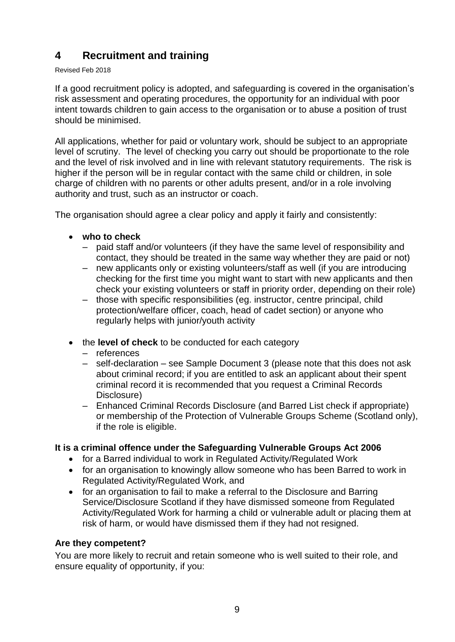# <span id="page-8-0"></span>**4 Recruitment and training**

# Revised Feb 2018

If a good recruitment policy is adopted, and safeguarding is covered in the organisation's risk assessment and operating procedures, the opportunity for an individual with poor intent towards children to gain access to the organisation or to abuse a position of trust should be minimised.

All applications, whether for paid or voluntary work, should be subject to an appropriate level of scrutiny. The level of checking you carry out should be proportionate to the role and the level of risk involved and in line with relevant statutory requirements. The risk is higher if the person will be in regular contact with the same child or children, in sole charge of children with no parents or other adults present, and/or in a role involving authority and trust, such as an instructor or coach.

The organisation should agree a clear policy and apply it fairly and consistently:

- **who to check** 
	- paid staff and/or volunteers (if they have the same level of responsibility and contact, they should be treated in the same way whether they are paid or not)
	- new applicants only or existing volunteers/staff as well (if you are introducing checking for the first time you might want to start with new applicants and then check your existing volunteers or staff in priority order, depending on their role)
	- those with specific responsibilities (eg. instructor, centre principal, child protection/welfare officer, coach, head of cadet section) or anyone who regularly helps with junior/youth activity
- the **level of check** to be conducted for each category
	- references
	- self-declaration see Sample Document 3 (please note that this does not ask about criminal record; if you are entitled to ask an applicant about their spent criminal record it is recommended that you request a Criminal Records Disclosure)
	- Enhanced Criminal Records Disclosure (and Barred List check if appropriate) or membership of the Protection of Vulnerable Groups Scheme (Scotland only), if the role is eligible.

# **It is a criminal offence under the Safeguarding Vulnerable Groups Act 2006**

- for a Barred individual to work in Regulated Activity/Regulated Work
- for an organisation to knowingly allow someone who has been Barred to work in Regulated Activity/Regulated Work, and
- for an organisation to fail to make a referral to the Disclosure and Barring Service/Disclosure Scotland if they have dismissed someone from Regulated Activity/Regulated Work for harming a child or vulnerable adult or placing them at risk of harm, or would have dismissed them if they had not resigned.

# **Are they competent?**

You are more likely to recruit and retain someone who is well suited to their role, and ensure equality of opportunity, if you: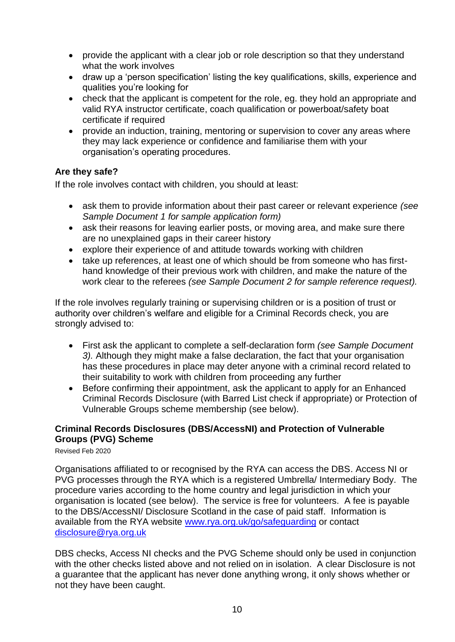- provide the applicant with a clear job or role description so that they understand what the work involves
- draw up a 'person specification' listing the key qualifications, skills, experience and qualities you're looking for
- check that the applicant is competent for the role, eg. they hold an appropriate and valid RYA instructor certificate, coach qualification or powerboat/safety boat certificate if required
- provide an induction, training, mentoring or supervision to cover any areas where they may lack experience or confidence and familiarise them with your organisation's operating procedures.

# **Are they safe?**

If the role involves contact with children, you should at least:

- ask them to provide information about their past career or relevant experience *(see Sample Document 1 for sample application form)*
- ask their reasons for leaving earlier posts, or moving area, and make sure there are no unexplained gaps in their career history
- explore their experience of and attitude towards working with children
- take up references, at least one of which should be from someone who has firsthand knowledge of their previous work with children, and make the nature of the work clear to the referees *(see Sample Document 2 for sample reference request).*

If the role involves regularly training or supervising children or is a position of trust or authority over children's welfare and eligible for a Criminal Records check, you are strongly advised to:

- First ask the applicant to complete a self-declaration form *(see Sample Document 3).* Although they might make a false declaration, the fact that your organisation has these procedures in place may deter anyone with a criminal record related to their suitability to work with children from proceeding any further
- Before confirming their appointment, ask the applicant to apply for an Enhanced Criminal Records Disclosure (with Barred List check if appropriate) or Protection of Vulnerable Groups scheme membership (see below).

# **Criminal Records Disclosures (DBS/AccessNI) and Protection of Vulnerable Groups (PVG) Scheme**

Revised Feb 2020

Organisations affiliated to or recognised by the RYA can access the DBS. Access NI or PVG processes through the RYA which is a registered Umbrella/ Intermediary Body. The procedure varies according to the home country and legal jurisdiction in which your organisation is located (see below). The service is free for volunteers. A fee is payable to the DBS/AccessNI/ Disclosure Scotland in the case of paid staff. Information is available from the RYA website [www.rya.org.uk/go/safeguarding](http://www.rya.org.uk/go/safeguarding) or contact [disclosure@rya.org.uk](mailto:disclosure@rya.org.uk)

DBS checks, Access NI checks and the PVG Scheme should only be used in conjunction with the other checks listed above and not relied on in isolation. A clear Disclosure is not a guarantee that the applicant has never done anything wrong, it only shows whether or not they have been caught.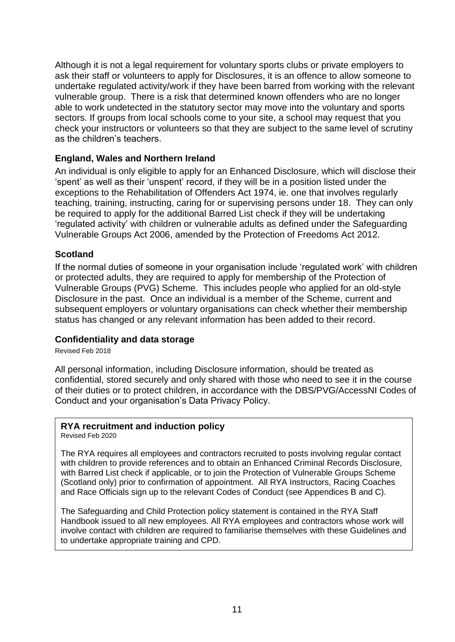Although it is not a legal requirement for voluntary sports clubs or private employers to ask their staff or volunteers to apply for Disclosures, it is an offence to allow someone to undertake regulated activity/work if they have been barred from working with the relevant vulnerable group. There is a risk that determined known offenders who are no longer able to work undetected in the statutory sector may move into the voluntary and sports sectors. If groups from local schools come to your site, a school may request that you check your instructors or volunteers so that they are subject to the same level of scrutiny as the children's teachers.

# **England, Wales and Northern Ireland**

An individual is only eligible to apply for an Enhanced Disclosure, which will disclose their 'spent' as well as their 'unspent' record, if they will be in a position listed under the exceptions to the Rehabilitation of Offenders Act 1974, ie. one that involves regularly teaching, training, instructing, caring for or supervising persons under 18. They can only be required to apply for the additional Barred List check if they will be undertaking 'regulated activity' with children or vulnerable adults as defined under the Safeguarding Vulnerable Groups Act 2006, amended by the Protection of Freedoms Act 2012.

# **Scotland**

If the normal duties of someone in your organisation include 'regulated work' with children or protected adults, they are required to apply for membership of the Protection of Vulnerable Groups (PVG) Scheme. This includes people who applied for an old-style Disclosure in the past. Once an individual is a member of the Scheme, current and subsequent employers or voluntary organisations can check whether their membership status has changed or any relevant information has been added to their record.

### **Confidentiality and data storage**

Revised Feb 2018

All personal information, including Disclosure information, should be treated as confidential, stored securely and only shared with those who need to see it in the course of their duties or to protect children, in accordance with the DBS/PVG/AccessNI Codes of Conduct and your organisation's Data Privacy Policy.

# **RYA recruitment and induction policy**

Revised Feb 2020

The RYA requires all employees and contractors recruited to posts involving regular contact with children to provide references and to obtain an Enhanced Criminal Records Disclosure, with Barred List check if applicable, or to join the Protection of Vulnerable Groups Scheme (Scotland only) prior to confirmation of appointment. All RYA Instructors, Racing Coaches and Race Officials sign up to the relevant Codes of Conduct (see Appendices B and C).

The Safeguarding and Child Protection policy statement is contained in the RYA Staff Handbook issued to all new employees. All RYA employees and contractors whose work will involve contact with children are required to familiarise themselves with these Guidelines and to undertake appropriate training and CPD.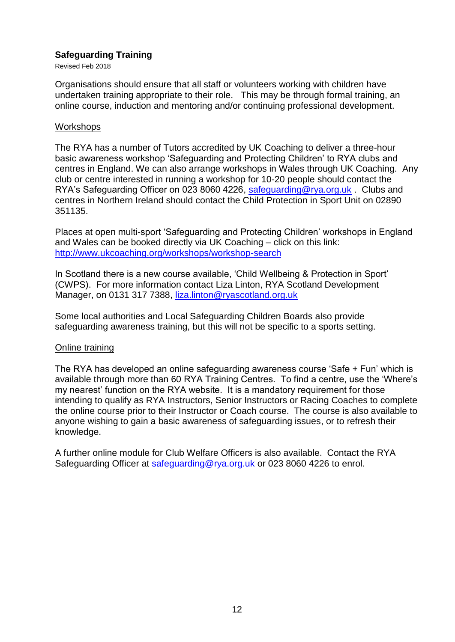# **Safeguarding Training**

Revised Feb 2018

Organisations should ensure that all staff or volunteers working with children have undertaken training appropriate to their role. This may be through formal training, an online course, induction and mentoring and/or continuing professional development.

#### **Workshops**

The RYA has a number of Tutors accredited by UK Coaching to deliver a three-hour basic awareness workshop 'Safeguarding and Protecting Children' to RYA clubs and centres in England. We can also arrange workshops in Wales through UK Coaching. Any club or centre interested in running a workshop for 10-20 people should contact the RYA's Safeguarding Officer on 023 8060 4226, [safeguarding@rya.org.uk](mailto:safeguarding@rya.org.uk) . Clubs and centres in Northern Ireland should contact the Child Protection in Sport Unit on 02890 351135.

Places at open multi-sport 'Safeguarding and Protecting Children' workshops in England and Wales can be booked directly via UK Coaching – click on this link: <http://www.ukcoaching.org/workshops/workshop-search>

In Scotland there is a new course available, 'Child Wellbeing & Protection in Sport' (CWPS). For more information contact Liza Linton, RYA Scotland Development Manager, on 0131 317 7388, [liza.linton@ryascotland.org.uk](mailto:liza.linton@ryascotland.org.uk)

Some local authorities and Local Safeguarding Children Boards also provide safeguarding awareness training, but this will not be specific to a sports setting.

### Online training

The RYA has developed an online safeguarding awareness course 'Safe + Fun' which is available through more than 60 RYA Training Centres. To find a centre, use the 'Where's my nearest' function on the RYA website. It is a mandatory requirement for those intending to qualify as RYA Instructors, Senior Instructors or Racing Coaches to complete the online course prior to their Instructor or Coach course. The course is also available to anyone wishing to gain a basic awareness of safeguarding issues, or to refresh their knowledge.

A further online module for Club Welfare Officers is also available. Contact the RYA Safeguarding Officer at [safeguarding@rya.org.uk](mailto:safeguarding@rya.org.uk) or 023 8060 4226 to enrol.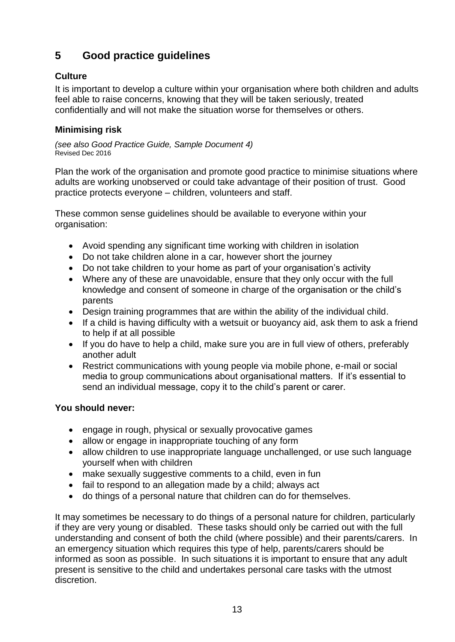# <span id="page-12-0"></span>**5 Good practice guidelines**

# **Culture**

It is important to develop a culture within your organisation where both children and adults feel able to raise concerns, knowing that they will be taken seriously, treated confidentially and will not make the situation worse for themselves or others.

# <span id="page-12-1"></span>**Minimising risk**

*(see also Good Practice Guide, Sample Document 4)* Revised Dec 2016

Plan the work of the organisation and promote good practice to minimise situations where adults are working unobserved or could take advantage of their position of trust. Good practice protects everyone – children, volunteers and staff.

These common sense guidelines should be available to everyone within your organisation:

- Avoid spending any significant time working with children in isolation
- Do not take children alone in a car, however short the journey
- Do not take children to your home as part of your organisation's activity
- Where any of these are unavoidable, ensure that they only occur with the full knowledge and consent of someone in charge of the organisation or the child's parents
- Design training programmes that are within the ability of the individual child.
- If a child is having difficulty with a wetsuit or buoyancy aid, ask them to ask a friend to help if at all possible
- If you do have to help a child, make sure you are in full view of others, preferably another adult
- Restrict communications with young people via mobile phone, e-mail or social media to group communications about organisational matters. If it's essential to send an individual message, copy it to the child's parent or carer.

# **You should never:**

- engage in rough, physical or sexually provocative games
- allow or engage in inappropriate touching of any form
- allow children to use inappropriate language unchallenged, or use such language yourself when with children
- make sexually suggestive comments to a child, even in fun
- fail to respond to an allegation made by a child; always act
- do things of a personal nature that children can do for themselves.

It may sometimes be necessary to do things of a personal nature for children, particularly if they are very young or disabled. These tasks should only be carried out with the full understanding and consent of both the child (where possible) and their parents/carers. In an emergency situation which requires this type of help, parents/carers should be informed as soon as possible. In such situations it is important to ensure that any adult present is sensitive to the child and undertakes personal care tasks with the utmost discretion.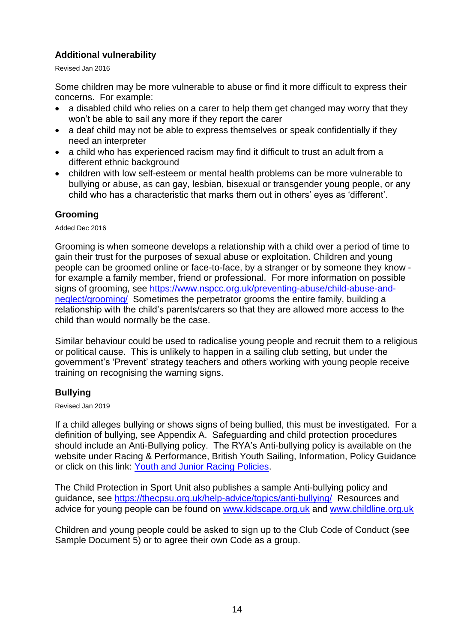# <span id="page-13-0"></span>**Additional vulnerability**

#### Revised Jan 2016

Some children may be more vulnerable to abuse or find it more difficult to express their concerns. For example:

- a disabled child who relies on a carer to help them get changed may worry that they won't be able to sail any more if they report the carer
- a deaf child may not be able to express themselves or speak confidentially if they need an interpreter
- a child who has experienced racism may find it difficult to trust an adult from a different ethnic background
- children with low self-esteem or mental health problems can be more vulnerable to bullying or abuse, as can gay, lesbian, bisexual or transgender young people, or any child who has a characteristic that marks them out in others' eyes as 'different'.

# <span id="page-13-1"></span>**Grooming**

Added Dec 2016

Grooming is when someone develops a relationship with a child over a period of time to gain their trust for the purposes of sexual abuse or exploitation. Children and young people can be groomed online or face-to-face, by a stranger or by someone they know for example a family member, friend or professional. For more information on possible signs of grooming, see [https://www.nspcc.org.uk/preventing-abuse/child-abuse-and](https://www.nspcc.org.uk/preventing-abuse/child-abuse-and-neglect/grooming/)[neglect/grooming/](https://www.nspcc.org.uk/preventing-abuse/child-abuse-and-neglect/grooming/) Sometimes the perpetrator grooms the entire family, building a relationship with the child's parents/carers so that they are allowed more access to the child than would normally be the case.

Similar behaviour could be used to radicalise young people and recruit them to a religious or political cause. This is unlikely to happen in a sailing club setting, but under the government's 'Prevent' strategy teachers and others working with young people receive training on recognising the warning signs.

# <span id="page-13-2"></span>**Bullying**

Revised Jan 2019

If a child alleges bullying or shows signs of being bullied, this must be investigated. For a definition of bullying, see Appendix A. Safeguarding and child protection procedures should include an Anti-Bullying policy. The RYA's Anti-bullying policy is available on the website under Racing & Performance, British Youth Sailing, Information, Policy Guidance or click on this link: [Youth and Junior Racing Policies.](https://www.rya.org.uk/racing/youth-junior/info/Pages/policies.aspx)

The Child Protection in Sport Unit also publishes a sample Anti-bullying policy and guidance, see<https://thecpsu.org.uk/help-advice/topics/anti-bullying/> Resources and advice for young people can be found on [www.kidscape.org.uk](http://www.kidscape.org.uk/) and [www.childline.org.uk](http://www.childline.org.uk/)

Children and young people could be asked to sign up to the Club Code of Conduct (see Sample Document 5) or to agree their own Code as a group.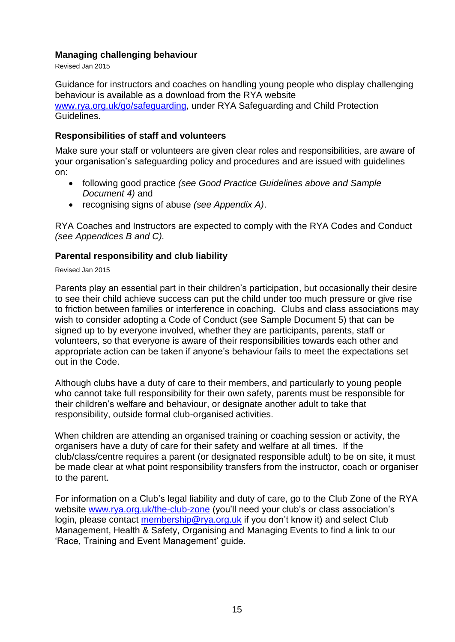# **Managing challenging behaviour**

Revised Jan 2015

Guidance for instructors and coaches on handling young people who display challenging behaviour is available as a download from the RYA website [www.rya.org.uk/go/safeguarding,](http://www.rya.org.uk/go/safeguarding) under RYA Safeguarding and Child Protection Guidelines.

# <span id="page-14-0"></span>**Responsibilities of staff and volunteers**

Make sure your staff or volunteers are given clear roles and responsibilities, are aware of your organisation's safeguarding policy and procedures and are issued with guidelines on:

- following good practice *(see Good Practice Guidelines above and Sample Document 4)* and
- recognising signs of abuse *(see Appendix A)*.

RYA Coaches and Instructors are expected to comply with the RYA Codes and Conduct *(see Appendices B and C).* 

# <span id="page-14-1"></span>**Parental responsibility and club liability**

Revised Jan 2015

Parents play an essential part in their children's participation, but occasionally their desire to see their child achieve success can put the child under too much pressure or give rise to friction between families or interference in coaching. Clubs and class associations may wish to consider adopting a Code of Conduct (see Sample Document 5) that can be signed up to by everyone involved, whether they are participants, parents, staff or volunteers, so that everyone is aware of their responsibilities towards each other and appropriate action can be taken if anyone's behaviour fails to meet the expectations set out in the Code.

Although clubs have a duty of care to their members, and particularly to young people who cannot take full responsibility for their own safety, parents must be responsible for their children's welfare and behaviour, or designate another adult to take that responsibility, outside formal club-organised activities.

When children are attending an organised training or coaching session or activity, the organisers have a duty of care for their safety and welfare at all times. If the club/class/centre requires a parent (or designated responsible adult) to be on site, it must be made clear at what point responsibility transfers from the instructor, coach or organiser to the parent.

For information on a Club's legal liability and duty of care, go to the Club Zone of the RYA website [www.rya.org.uk/the-club-zone](http://www.rya.org.uk/the-club-zone) (you'll need your club's or class association's login, please contact [membership@rya.org.uk](mailto:legal@rya.org.uk) if you don't know it) and select Club Management, Health & Safety, Organising and Managing Events to find a link to our 'Race, Training and Event Management' guide.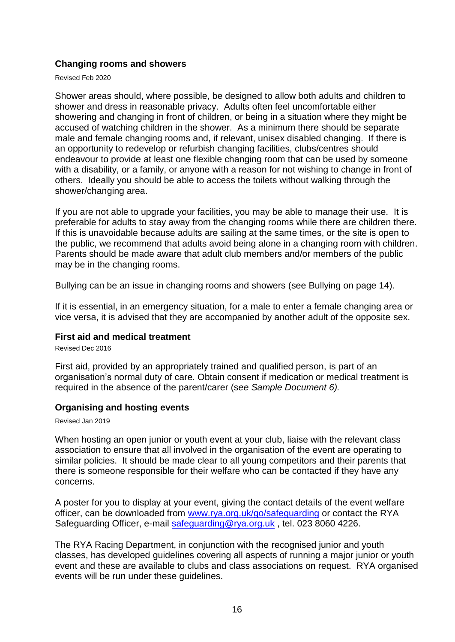## <span id="page-15-0"></span>**Changing rooms and showers**

#### Revised Feb 2020

Shower areas should, where possible, be designed to allow both adults and children to shower and dress in reasonable privacy. Adults often feel uncomfortable either showering and changing in front of children, or being in a situation where they might be accused of watching children in the shower. As a minimum there should be separate male and female changing rooms and, if relevant, unisex disabled changing. If there is an opportunity to redevelop or refurbish changing facilities, clubs/centres should endeavour to provide at least one flexible changing room that can be used by someone with a disability, or a family, or anyone with a reason for not wishing to change in front of others. Ideally you should be able to access the toilets without walking through the shower/changing area.

If you are not able to upgrade your facilities, you may be able to manage their use. It is preferable for adults to stay away from the changing rooms while there are children there. If this is unavoidable because adults are sailing at the same times, or the site is open to the public, we recommend that adults avoid being alone in a changing room with children. Parents should be made aware that adult club members and/or members of the public may be in the changing rooms.

Bullying can be an issue in changing rooms and showers (see Bullying on page 14).

If it is essential, in an emergency situation, for a male to enter a female changing area or vice versa, it is advised that they are accompanied by another adult of the opposite sex.

#### **First aid and medical treatment**

Revised Dec 2016

First aid, provided by an appropriately trained and qualified person, is part of an organisation's normal duty of care. Obtain consent if medication or medical treatment is required in the absence of the parent/carer (s*ee Sample Document 6).* 

# <span id="page-15-1"></span>**Organising and hosting events**

Revised Jan 2019

When hosting an open junior or youth event at your club, liaise with the relevant class association to ensure that all involved in the organisation of the event are operating to similar policies. It should be made clear to all young competitors and their parents that there is someone responsible for their welfare who can be contacted if they have any concerns.

A poster for you to display at your event, giving the contact details of the event welfare officer, can be downloaded from [www.rya.org.uk/go/safeguarding](http://www.rya.org.uk/go/childprotection) or contact the RYA Safeguarding Officer, e-mail [safeguarding@rya.org.uk](mailto:safeguarding@rya.org.uk), tel. 023 8060 4226.

The RYA Racing Department, in conjunction with the recognised junior and youth classes, has developed guidelines covering all aspects of running a major junior or youth event and these are available to clubs and class associations on request. RYA organised events will be run under these guidelines.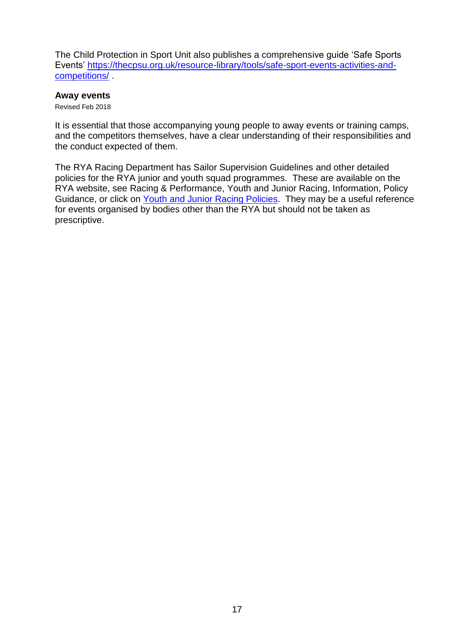The Child Protection in Sport Unit also publishes a comprehensive guide 'Safe Sports Events' [https://thecpsu.org.uk/resource-library/tools/safe-sport-events-activities-and](https://thecpsu.org.uk/resource-library/tools/safe-sport-events-activities-and-competitions/)[competitions/](https://thecpsu.org.uk/resource-library/tools/safe-sport-events-activities-and-competitions/) .

#### **Away events**

Revised Feb 2018

It is essential that those accompanying young people to away events or training camps, and the competitors themselves, have a clear understanding of their responsibilities and the conduct expected of them.

The RYA Racing Department has Sailor Supervision Guidelines and other detailed policies for the RYA junior and youth squad programmes. These are available on the RYA website, see Racing & Performance, Youth and Junior Racing, Information, Policy Guidance, or click on [Youth and Junior Racing Policies.](https://www.rya.org.uk/racing/youth-junior/info/Pages/policies.aspx) They may be a useful reference for events organised by bodies other than the RYA but should not be taken as prescriptive.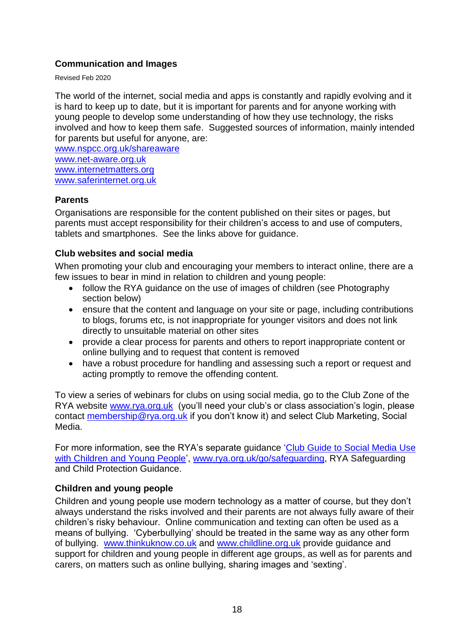# <span id="page-17-0"></span>**Communication and Images**

Revised Feb 2020

The world of the internet, social media and apps is constantly and rapidly evolving and it is hard to keep up to date, but it is important for parents and for anyone working with young people to develop some understanding of how they use technology, the risks involved and how to keep them safe. Suggested sources of information, mainly intended for parents but useful for anyone, are:

[www.nspcc.org.uk/shareaware](http://www.nspcc.org.uk/shareaware) [www.net-aware.org.uk](http://www.net-aware.org.uk/) [www.internetmatters.org](http://www.internetmatters.org/) [www.saferinternet.org.uk](http://www.saferinternet.org.uk/)

# **Parents**

Organisations are responsible for the content published on their sites or pages, but parents must accept responsibility for their children's access to and use of computers, tablets and smartphones. See the links above for guidance.

# **Club websites and social media**

When promoting your club and encouraging your members to interact online, there are a few issues to bear in mind in relation to children and young people:

- follow the RYA guidance on the use of images of children (see Photography section below)
- ensure that the content and language on your site or page, including contributions to blogs, forums etc, is not inappropriate for younger visitors and does not link directly to unsuitable material on other sites
- provide a clear process for parents and others to report inappropriate content or online bullying and to request that content is removed
- have a robust procedure for handling and assessing such a report or request and acting promptly to remove the offending content.

To view a series of webinars for clubs on using social media, go to the Club Zone of the RYA website [www.rya.org.uk](http://www.rya.org.uk/) (you'll need your club's or class association's login, please contact [membership@rya.org.uk](mailto:legal@rya.org.uk) if you don't know it) and select Club Marketing, Social Media.

For more information, see the RYA's separate guidance ['Club Guide to Social Media Use](https://www.rya.org.uk/SiteCollectionDocuments/hr-administration/administration/child-protection-guidelines/Club%20Guide%20to%20Social%20Media%20Use%202020.pdf) [with Children and Young People'](https://www.rya.org.uk/SiteCollectionDocuments/hr-administration/administration/child-protection-guidelines/Club%20Guide%20to%20Social%20Media%20Use%202020.pdf), [www.rya.org.uk/go/safeguarding,](http://www.rya.org.uk/go/safeguarding) RYA Safeguarding and Child Protection Guidance.

# **Children and young people**

Children and young people use modern technology as a matter of course, but they don't always understand the risks involved and their parents are not always fully aware of their children's risky behaviour. Online communication and texting can often be used as a means of bullying. 'Cyberbullying' should be treated in the same way as any other form of bullying. [www.thinkuknow.co.uk](http://www.thinkuknow.co.uk/) and [www.childline.org.uk](http://www.childline.org.uk/) provide guidance and support for children and young people in different age groups, as well as for parents and carers, on matters such as online bullying, sharing images and 'sexting'.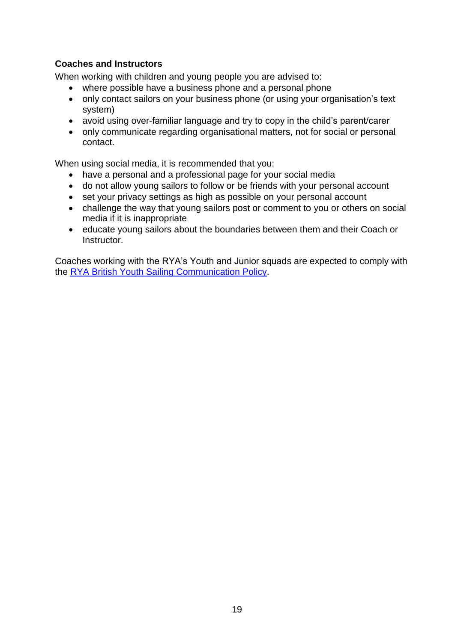# **Coaches and Instructors**

When working with children and young people you are advised to:

- where possible have a business phone and a personal phone
- only contact sailors on your business phone (or using your organisation's text system)
- avoid using over-familiar language and try to copy in the child's parent/carer
- only communicate regarding organisational matters, not for social or personal contact.

When using social media, it is recommended that you:

- have a personal and a professional page for your social media
- do not allow young sailors to follow or be friends with your personal account
- set your privacy settings as high as possible on your personal account
- challenge the way that young sailors post or comment to you or others on social media if it is inappropriate
- educate young sailors about the boundaries between them and their Coach or **Instructor**

Coaches working with the RYA's Youth and Junior squads are expected to comply with the [RYA British Youth Sailing](https://www.rya.org.uk/racing/youth-junior/info/Pages/policies.aspx) Communication Policy.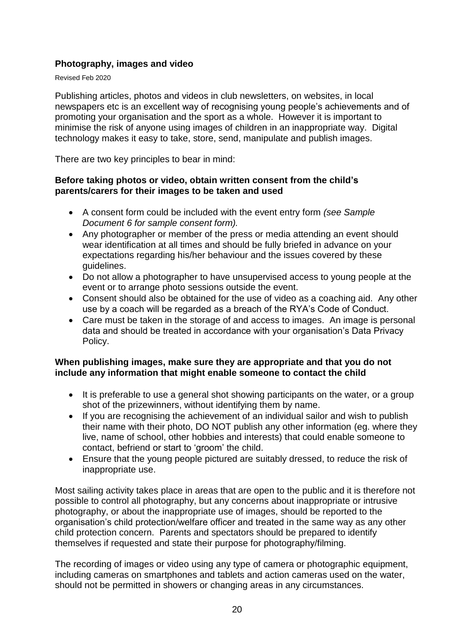# <span id="page-19-0"></span>**Photography, images and video**

#### Revised Feb 2020

Publishing articles, photos and videos in club newsletters, on websites, in local newspapers etc is an excellent way of recognising young people's achievements and of promoting your organisation and the sport as a whole. However it is important to minimise the risk of anyone using images of children in an inappropriate way. Digital technology makes it easy to take, store, send, manipulate and publish images.

There are two key principles to bear in mind:

## **Before taking photos or video, obtain written consent from the child's parents/carers for their images to be taken and used**

- A consent form could be included with the event entry form *(see Sample Document 6 for sample consent form).*
- Any photographer or member of the press or media attending an event should wear identification at all times and should be fully briefed in advance on your expectations regarding his/her behaviour and the issues covered by these guidelines.
- Do not allow a photographer to have unsupervised access to young people at the event or to arrange photo sessions outside the event.
- Consent should also be obtained for the use of video as a coaching aid. Any other use by a coach will be regarded as a breach of the RYA's Code of Conduct.
- Care must be taken in the storage of and access to images. An image is personal data and should be treated in accordance with your organisation's Data Privacy Policy.

# **When publishing images, make sure they are appropriate and that you do not include any information that might enable someone to contact the child**

- It is preferable to use a general shot showing participants on the water, or a group shot of the prizewinners, without identifying them by name.
- If you are recognising the achievement of an individual sailor and wish to publish their name with their photo, DO NOT publish any other information (eg. where they live, name of school, other hobbies and interests) that could enable someone to contact, befriend or start to 'groom' the child.
- Ensure that the young people pictured are suitably dressed, to reduce the risk of inappropriate use.

Most sailing activity takes place in areas that are open to the public and it is therefore not possible to control all photography, but any concerns about inappropriate or intrusive photography, or about the inappropriate use of images, should be reported to the organisation's child protection/welfare officer and treated in the same way as any other child protection concern. Parents and spectators should be prepared to identify themselves if requested and state their purpose for photography/filming.

The recording of images or video using any type of camera or photographic equipment, including cameras on smartphones and tablets and action cameras used on the water, should not be permitted in showers or changing areas in any circumstances.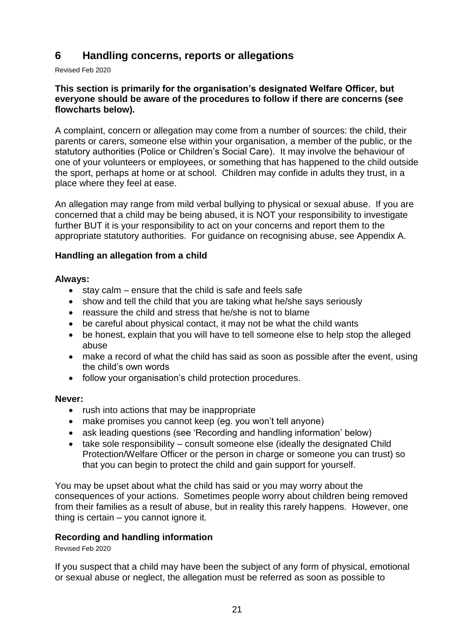# <span id="page-20-0"></span>**6 Handling concerns, reports or allegations**

Revised Feb 2020

# **This section is primarily for the organisation's designated Welfare Officer, but everyone should be aware of the procedures to follow if there are concerns (see flowcharts below).**

A complaint, concern or allegation may come from a number of sources: the child, their parents or carers, someone else within your organisation, a member of the public, or the statutory authorities (Police or Children's Social Care). It may involve the behaviour of one of your volunteers or employees, or something that has happened to the child outside the sport, perhaps at home or at school. Children may confide in adults they trust, in a place where they feel at ease.

An allegation may range from mild verbal bullying to physical or sexual abuse. If you are concerned that a child may be being abused, it is NOT your responsibility to investigate further BUT it is your responsibility to act on your concerns and report them to the appropriate statutory authorities. For guidance on recognising abuse, see Appendix A.

# **Handling an allegation from a child**

### **Always:**

- $\bullet$  stay calm ensure that the child is safe and feels safe
- show and tell the child that you are taking what he/she says seriously
- reassure the child and stress that he/she is not to blame
- be careful about physical contact, it may not be what the child wants
- be honest, explain that you will have to tell someone else to help stop the alleged abuse
- make a record of what the child has said as soon as possible after the event, using the child's own words
- follow your organisation's child protection procedures.

### **Never:**

- rush into actions that may be inappropriate
- make promises you cannot keep (eg. you won't tell anyone)
- ask leading questions (see 'Recording and handling information' below)
- take sole responsibility consult someone else (ideally the designated Child Protection/Welfare Officer or the person in charge or someone you can trust) so that you can begin to protect the child and gain support for yourself.

You may be upset about what the child has said or you may worry about the consequences of your actions. Sometimes people worry about children being removed from their families as a result of abuse, but in reality this rarely happens. However, one thing is certain – you cannot ignore it.

# **Recording and handling information**

Revised Feb 2020

If you suspect that a child may have been the subject of any form of physical, emotional or sexual abuse or neglect, the allegation must be referred as soon as possible to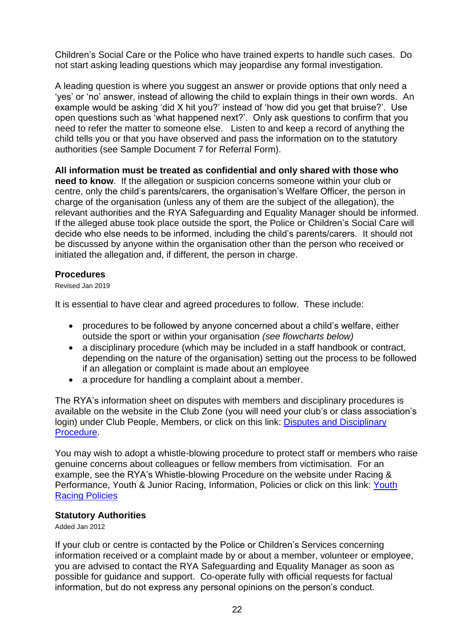Children's Social Care or the Police who have trained experts to handle such cases. Do not start asking leading questions which may jeopardise any formal investigation.

A leading question is where you suggest an answer or provide options that only need a 'yes' or 'no' answer, instead of allowing the child to explain things in their own words. An example would be asking 'did X hit you?' instead of 'how did you get that bruise?'. Use open questions such as 'what happened next?'. Only ask questions to confirm that you need to refer the matter to someone else. Listen to and keep a record of anything the child tells you or that you have observed and pass the information on to the statutory authorities (see Sample Document 7 for Referral Form).

**All information must be treated as confidential and only shared with those who need to know**. If the allegation or suspicion concerns someone within your club or centre, only the child's parents/carers, the organisation's Welfare Officer, the person in charge of the organisation (unless any of them are the subject of the allegation), the relevant authorities and the RYA Safeguarding and Equality Manager should be informed. If the alleged abuse took place outside the sport, the Police or Children's Social Care will decide who else needs to be informed, including the child's parents/carers. It should not be discussed by anyone within the organisation other than the person who received or initiated the allegation and, if different, the person in charge.

# **Procedures**

Revised Jan 2019

It is essential to have clear and agreed procedures to follow. These include:

- procedures to be followed by anyone concerned about a child's welfare, either outside the sport or within your organisation *(see flowcharts below)*
- a disciplinary procedure (which may be included in a staff handbook or contract, depending on the nature of the organisation) setting out the process to be followed if an allegation or complaint is made about an employee
- a procedure for handling a complaint about a member.

The RYA's information sheet on disputes with members and disciplinary procedures is available on the website in the Club Zone (you will need your club's or class association's login) under Club People, Members, or click on this link: [Disputes and Disciplinary](https://www.rya.org.uk/the-club-zone/Pages/members.aspx)  [Procedure.](https://www.rya.org.uk/the-club-zone/Pages/members.aspx)

You may wish to adopt a whistle-blowing procedure to protect staff or members who raise genuine concerns about colleagues or fellow members from victimisation. For an example, see the RYA's Whistle-blowing Procedure on the website under Racing & Performance, [Youth](https://www.rya.org.uk/racing/youth-junior/info/Pages/policies.aspx) & Junior Racing, Information, Policies or click on this link: Youth [Racing Policies](https://www.rya.org.uk/racing/youth-junior/info/Pages/policies.aspx)

### **Statutory Authorities**

#### Added Jan 2012

If your club or centre is contacted by the Police or Children's Services concerning information received or a complaint made by or about a member, volunteer or employee, you are advised to contact the RYA Safeguarding and Equality Manager as soon as possible for guidance and support. Co-operate fully with official requests for factual information, but do not express any personal opinions on the person's conduct.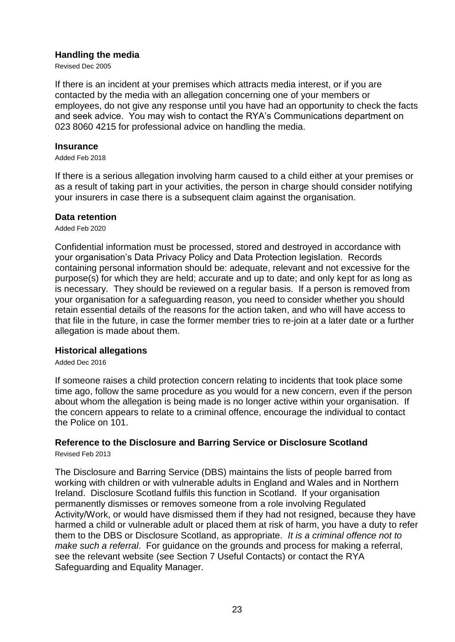#### **Handling the media**

Revised Dec 2005

If there is an incident at your premises which attracts media interest, or if you are contacted by the media with an allegation concerning one of your members or employees, do not give any response until you have had an opportunity to check the facts and seek advice. You may wish to contact the RYA's Communications department on 023 8060 4215 for professional advice on handling the media.

#### **Insurance**

Added Feb 2018

If there is a serious allegation involving harm caused to a child either at your premises or as a result of taking part in your activities, the person in charge should consider notifying your insurers in case there is a subsequent claim against the organisation.

#### **Data retention**

Added Feb 2020

Confidential information must be processed, stored and destroyed in accordance with your organisation's Data Privacy Policy and Data Protection legislation. Records containing personal information should be: adequate, relevant and not excessive for the purpose(s) for which they are held; accurate and up to date; and only kept for as long as is necessary. They should be reviewed on a regular basis. If a person is removed from your organisation for a safeguarding reason, you need to consider whether you should retain essential details of the reasons for the action taken, and who will have access to that file in the future, in case the former member tries to re-join at a later date or a further allegation is made about them.

### **Historical allegations**

Added Dec 2016

If someone raises a child protection concern relating to incidents that took place some time ago, follow the same procedure as you would for a new concern, even if the person about whom the allegation is being made is no longer active within your organisation. If the concern appears to relate to a criminal offence, encourage the individual to contact the Police on 101.

# **Reference to the Disclosure and Barring Service or Disclosure Scotland**

Revised Feb 2013

The Disclosure and Barring Service (DBS) maintains the lists of people barred from working with children or with vulnerable adults in England and Wales and in Northern Ireland. Disclosure Scotland fulfils this function in Scotland. If your organisation permanently dismisses or removes someone from a role involving Regulated Activity/Work, or would have dismissed them if they had not resigned, because they have harmed a child or vulnerable adult or placed them at risk of harm, you have a duty to refer them to the DBS or Disclosure Scotland, as appropriate. *It is a criminal offence not to make such a referral*. For guidance on the grounds and process for making a referral, see the relevant website (see Section 7 Useful Contacts) or contact the RYA Safeguarding and Equality Manager.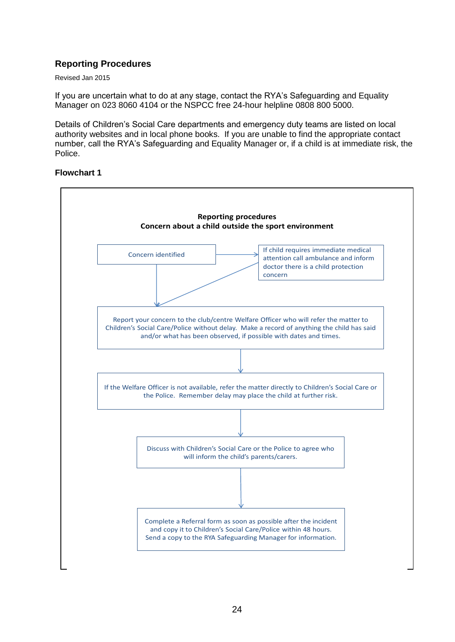# <span id="page-23-0"></span>**Reporting Procedures**

#### Revised Jan 2015

If you are uncertain what to do at any stage, contact the RYA's Safeguarding and Equality Manager on 023 8060 4104 or the NSPCC free 24-hour helpline 0808 800 5000.

Details of Children's Social Care departments and emergency duty teams are listed on local authority websites and in local phone books. If you are unable to find the appropriate contact number, call the RYA's Safeguarding and Equality Manager or, if a child is at immediate risk, the Police.

#### **Flowchart 1**

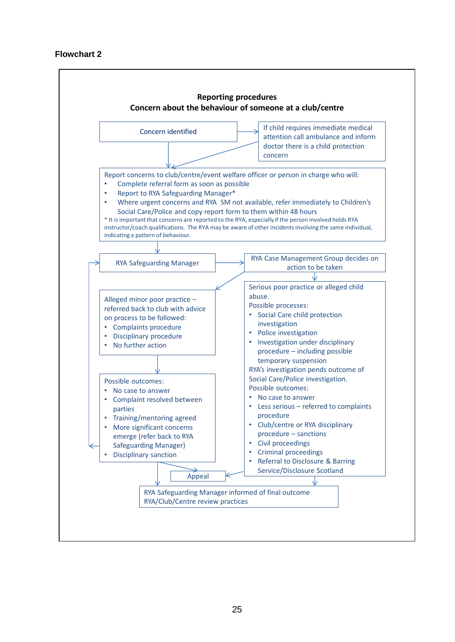#### **Flowchart 2**

<span id="page-24-0"></span>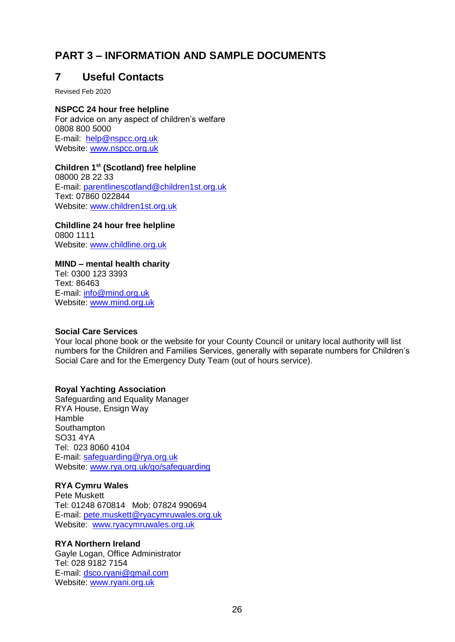# **PART 3 – INFORMATION AND SAMPLE DOCUMENTS**

# <span id="page-25-0"></span>**7 Useful Contacts**

Revised Feb 2020

#### **NSPCC 24 hour free helpline**

For advice on any aspect of children's welfare 0808 800 5000 E-mail: [help@nspcc.org.uk](mailto:help@nspcc.org.uk) Website: [www.nspcc.org.uk](http://www.nspcc.org.uk/)

### **Children 1st (Scotland) free helpline**

08000 28 22 33 E-mail: [parentlinescotland@children1st.org.uk](mailto:parentlinescotland@children1st.org.uk) Text: 07860 022844 Website: [www.children1st.org.uk](http://www.children1st.org.uk/)

**Childline 24 hour free helpline** 0800 1111 Website: [www.childline.org.uk](http://www.childline.org.uk/)

### **MIND – mental health charity**

Tel: 0300 123 3393 Text: 86463 E-mail: [info@mind.org.uk](mailto:info@mind.org.uk) Website: [www.mind.org.uk](http://www.mind.org.uk/)

#### **Social Care Services**

Your local phone book or the website for your County Council or unitary local authority will list numbers for the Children and Families Services, generally with separate numbers for Children's Social Care and for the Emergency Duty Team (out of hours service).

#### **Royal Yachting Association**

Safeguarding and Equality Manager RYA House, Ensign Way Hamble **Southampton** SO31 4YA Tel: 023 8060 4104 E-mail: [safeguarding@rya.org.uk](mailto:safeguarding@rya.org.uk) Website: [www.rya.org.uk/go/safeguarding](http://www.rya.org.uk/go/childprotection)

#### **RYA Cymru Wales**

Pete Muskett Tel: 01248 670814 Mob: 07824 990694 E-mail: [pete.muskett@ryacymruwales.org.uk](mailto:pete.muskett@ryacymruwales.org.uk) Website: [www.ryacymruwales.org.uk](http://www.ryacymruwales.org.uk/)

#### **RYA Northern Ireland**

Gayle Logan, Office Administrator Tel: 028 9182 7154 E-mail: [dsco.ryani@gmail.com](mailto:dsco.ryani@gmail.com) Website: [www.ryani.org.uk](http://www.ryani.org.uk/)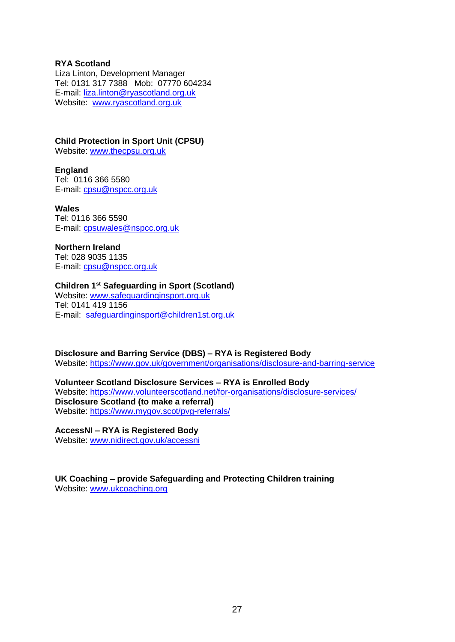#### **RYA Scotland**

Liza Linton, Development Manager Tel: 0131 317 7388 Mob: 07770 604234 E-mail: [liza.linton@ryascotland.org.uk](mailto:liza.linton@ryascotland.org.uk) Website: [www.ryascotland.org.uk](http://www.ryascotland.org.uk/)

**Child Protection in Sport Unit (CPSU)**

Website: [www.thecpsu.org.uk](http://www.thecpsu.org.uk/)

**England** Tel: 0116 366 5580 E-mail: [cpsu@nspcc.org.uk](mailto:cpsu@nspcc.org.uk)

**Wales** Tel: 0116 366 5590 E-mail: [cpsuwales@nspcc.org.uk](mailto:cpsuwales@nspcc.org.uk)

## **Northern Ireland**

Tel: 028 9035 1135 E-mail: [cpsu@nspcc.org.uk](mailto:cpsu@nspcc.org.uk)

#### **Children 1st Safeguarding in Sport (Scotland)**

Website: www.safequardinginsport.org.uk Tel: 0141 419 1156 E-mail: [safeguardinginsport@children1st.org.uk](mailto:safeguardinginsport@children1st.org.uk)

**Disclosure and Barring Service (DBS) – RYA is Registered Body** Website:<https://www.gov.uk/government/organisations/disclosure-and-barring-service>

#### **Volunteer Scotland Disclosure Services – RYA is Enrolled Body**

Website:<https://www.volunteerscotland.net/for-organisations/disclosure-services/> **Disclosure Scotland (to make a referral)** Website:<https://www.mygov.scot/pvg-referrals/>

#### **AccessNI – RYA is Registered Body**

Website: [www.nidirect.gov.uk/accessni](http://www.nidirect.gov.uk/accessni)

#### **UK Coaching – provide Safeguarding and Protecting Children training** Website: [www.ukcoaching.org](http://www.ukcoaching.org/)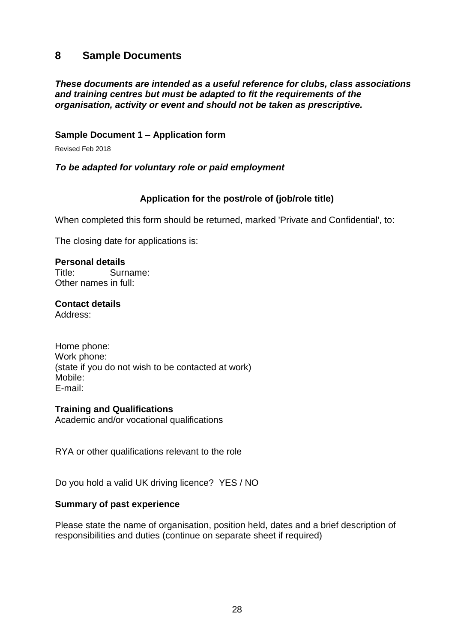# <span id="page-27-0"></span>**8 Sample Documents**

*These documents are intended as a useful reference for clubs, class associations and training centres but must be adapted to fit the requirements of the organisation, activity or event and should not be taken as prescriptive.*

#### <span id="page-27-1"></span>**Sample Document 1 – Application form**

Revised Feb 2018

### *To be adapted for voluntary role or paid employment*

# **Application for the post/role of (job/role title)**

When completed this form should be returned, marked 'Private and Confidential', to:

The closing date for applications is:

#### **Personal details**

Title: Surname: Other names in full:

#### **Contact details** Address:

Home phone: Work phone: (state if you do not wish to be contacted at work) Mobile: E-mail:

### **Training and Qualifications**

Academic and/or vocational qualifications

RYA or other qualifications relevant to the role

Do you hold a valid UK driving licence? YES / NO

### **Summary of past experience**

Please state the name of organisation, position held, dates and a brief description of responsibilities and duties (continue on separate sheet if required)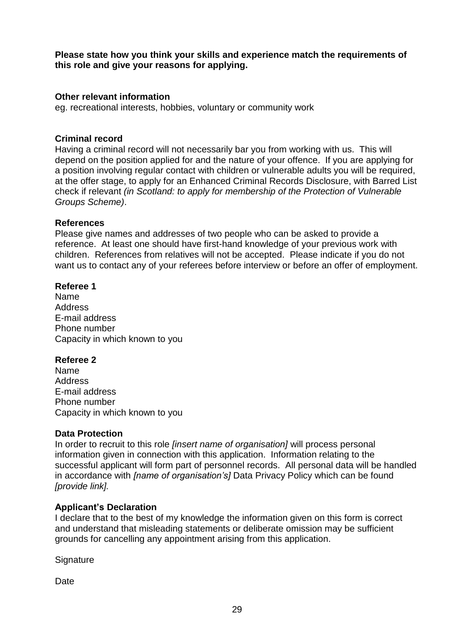**Please state how you think your skills and experience match the requirements of this role and give your reasons for applying.**

#### **Other relevant information**

eg. recreational interests, hobbies, voluntary or community work

#### **Criminal record**

Having a criminal record will not necessarily bar you from working with us. This will depend on the position applied for and the nature of your offence. If you are applying for a position involving regular contact with children or vulnerable adults you will be required, at the offer stage, to apply for an Enhanced Criminal Records Disclosure, with Barred List check if relevant *(in Scotland: to apply for membership of the Protection of Vulnerable Groups Scheme)*.

#### **References**

Please give names and addresses of two people who can be asked to provide a reference. At least one should have first-hand knowledge of your previous work with children. References from relatives will not be accepted. Please indicate if you do not want us to contact any of your referees before interview or before an offer of employment.

#### **Referee 1**

Name Address E-mail address Phone number Capacity in which known to you

### **Referee 2**

Name **Address** E-mail address Phone number Capacity in which known to you

#### **Data Protection**

In order to recruit to this role *[insert name of organisation]* will process personal information given in connection with this application. Information relating to the successful applicant will form part of personnel records. All personal data will be handled in accordance with *[name of organisation's]* Data Privacy Policy which can be found *[provide link].*

### **Applicant's Declaration**

I declare that to the best of my knowledge the information given on this form is correct and understand that misleading statements or deliberate omission may be sufficient grounds for cancelling any appointment arising from this application.

**Signature** 

**Date**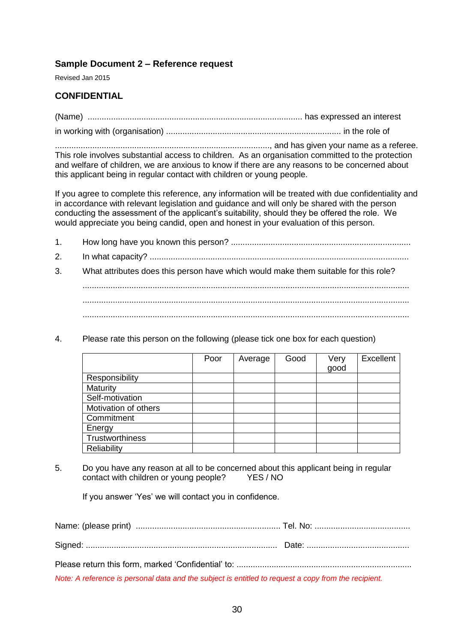### <span id="page-29-0"></span>**Sample Document 2 – Reference request**

Revised Jan 2015

# **CONFIDENTIAL**

(Name) ............................................................................................ has expressed an interest in working with (organisation) ........................................................................... in the role of

............................................................................................, and has given your name as a referee. This role involves substantial access to children. As an organisation committed to the protection and welfare of children, we are anxious to know if there are any reasons to be concerned about this applicant being in regular contact with children or young people.

If you agree to complete this reference, any information will be treated with due confidentiality and in accordance with relevant legislation and guidance and will only be shared with the person conducting the assessment of the applicant's suitability, should they be offered the role. We would appreciate you being candid, open and honest in your evaluation of this person.

- 1. How long have you known this person? ............................................................................. 2. In what capacity? ............................................................................................................... 3. What attributes does this person have which would make them suitable for this role? ............................................................................................................................................ ............................................................................................................................................
- 4. Please rate this person on the following (please tick one box for each question)

|                      | Poor | Average | Good | Very<br>good | Excellent |
|----------------------|------|---------|------|--------------|-----------|
| Responsibility       |      |         |      |              |           |
| Maturity             |      |         |      |              |           |
| Self-motivation      |      |         |      |              |           |
| Motivation of others |      |         |      |              |           |
| Commitment           |      |         |      |              |           |
| Energy               |      |         |      |              |           |
| Trustworthiness      |      |         |      |              |           |
| Reliability          |      |         |      |              |           |

5. Do you have any reason at all to be concerned about this applicant being in regular contact with children or young people? YES / NO

If you answer 'Yes' we will contact you in confidence.

Name: (please print) .............................................................. Tel. No: ......................................... Signed: .................................................................................. Date: ............................................ Please return this form, marked 'Confidential' to: ........................................................................... *Note: A reference is personal data and the subject is entitled to request a copy from the recipient.*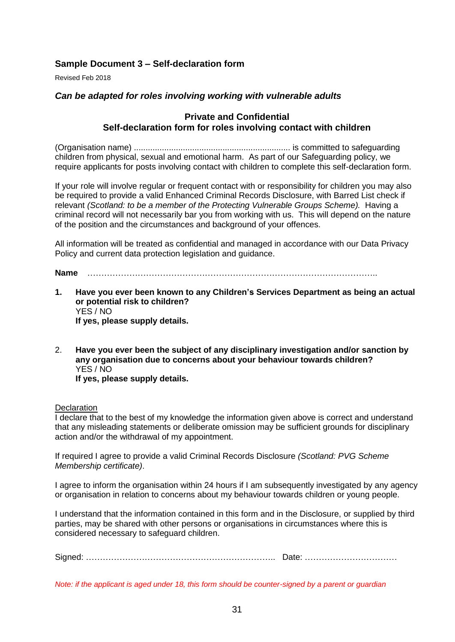## <span id="page-30-0"></span>**Sample Document 3 – Self-declaration form**

Revised Feb 2018

# *Can be adapted for roles involving working with vulnerable adults*

#### **Private and Confidential Self-declaration form for roles involving contact with children**

(Organisation name) ................................................................... is committed to safeguarding children from physical, sexual and emotional harm. As part of our Safeguarding policy, we require applicants for posts involving contact with children to complete this self-declaration form.

If your role will involve regular or frequent contact with or responsibility for children you may also be required to provide a valid Enhanced Criminal Records Disclosure, with Barred List check if relevant *(Scotland: to be a member of the Protecting Vulnerable Groups Scheme)*. Having a criminal record will not necessarily bar you from working with us. This will depend on the nature of the position and the circumstances and background of your offences.

All information will be treated as confidential and managed in accordance with our Data Privacy Policy and current data protection legislation and guidance.

**Name** …………………………………………………………………………………………..

- **1. Have you ever been known to any Children's Services Department as being an actual or potential risk to children?** YES / NO **If yes, please supply details.**
- 2. **Have you ever been the subject of any disciplinary investigation and/or sanction by any organisation due to concerns about your behaviour towards children?** YES / NO **If yes, please supply details.**

**Declaration** 

I declare that to the best of my knowledge the information given above is correct and understand that any misleading statements or deliberate omission may be sufficient grounds for disciplinary action and/or the withdrawal of my appointment.

If required I agree to provide a valid Criminal Records Disclosure *(Scotland: PVG Scheme Membership certificate)*.

I agree to inform the organisation within 24 hours if I am subsequently investigated by any agency or organisation in relation to concerns about my behaviour towards children or young people.

I understand that the information contained in this form and in the Disclosure, or supplied by third parties, may be shared with other persons or organisations in circumstances where this is considered necessary to safeguard children.

Signed: ………………………………………………………….. Date: ……………………………

*Note: if the applicant is aged under 18, this form should be counter-signed by a parent or guardian*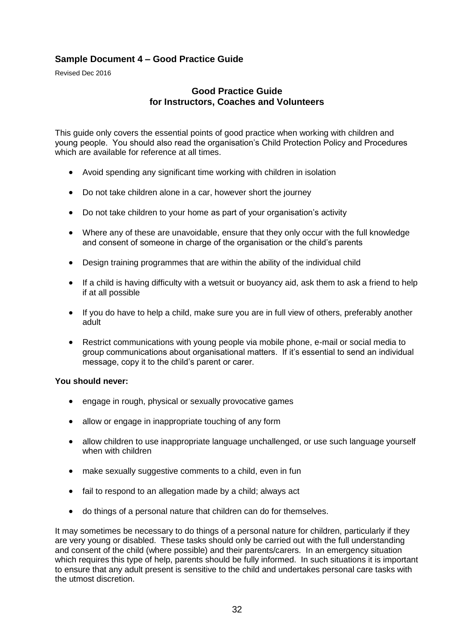# <span id="page-31-0"></span>**Sample Document 4 – Good Practice Guide**

Revised Dec 2016

## **Good Practice Guide for Instructors, Coaches and Volunteers**

This guide only covers the essential points of good practice when working with children and young people. You should also read the organisation's Child Protection Policy and Procedures which are available for reference at all times.

- Avoid spending any significant time working with children in isolation
- Do not take children alone in a car, however short the journey
- Do not take children to your home as part of your organisation's activity
- Where any of these are unavoidable, ensure that they only occur with the full knowledge and consent of someone in charge of the organisation or the child's parents
- Design training programmes that are within the ability of the individual child
- If a child is having difficulty with a wetsuit or buoyancy aid, ask them to ask a friend to help if at all possible
- If you do have to help a child, make sure you are in full view of others, preferably another adult
- Restrict communications with young people via mobile phone, e-mail or social media to group communications about organisational matters. If it's essential to send an individual message, copy it to the child's parent or carer.

#### **You should never:**

- engage in rough, physical or sexually provocative games
- allow or engage in inappropriate touching of any form
- allow children to use inappropriate language unchallenged, or use such language yourself when with children
- make sexually suggestive comments to a child, even in fun
- fail to respond to an allegation made by a child; always act
- do things of a personal nature that children can do for themselves.

It may sometimes be necessary to do things of a personal nature for children, particularly if they are very young or disabled. These tasks should only be carried out with the full understanding and consent of the child (where possible) and their parents/carers. In an emergency situation which requires this type of help, parents should be fully informed. In such situations it is important to ensure that any adult present is sensitive to the child and undertakes personal care tasks with the utmost discretion.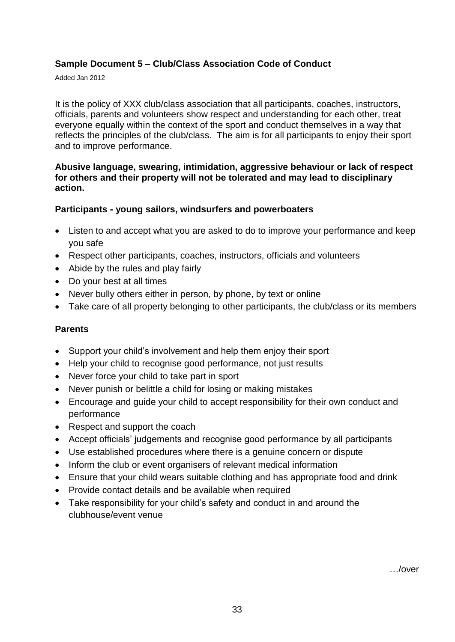# <span id="page-32-0"></span>**Sample Document 5 – Club/Class Association Code of Conduct**

Added Jan 2012

It is the policy of XXX club/class association that all participants, coaches, instructors, officials, parents and volunteers show respect and understanding for each other, treat everyone equally within the context of the sport and conduct themselves in a way that reflects the principles of the club/class. The aim is for all participants to enjoy their sport and to improve performance.

#### **Abusive language, swearing, intimidation, aggressive behaviour or lack of respect for others and their property will not be tolerated and may lead to disciplinary action.**

### **Participants - young sailors, windsurfers and powerboaters**

- Listen to and accept what you are asked to do to improve your performance and keep you safe
- Respect other participants, coaches, instructors, officials and volunteers
- Abide by the rules and play fairly
- Do your best at all times
- Never bully others either in person, by phone, by text or online
- Take care of all property belonging to other participants, the club/class or its members

### **Parents**

- Support your child's involvement and help them enjoy their sport
- Help your child to recognise good performance, not just results
- Never force your child to take part in sport
- Never punish or belittle a child for losing or making mistakes
- Encourage and guide your child to accept responsibility for their own conduct and performance
- Respect and support the coach
- Accept officials' judgements and recognise good performance by all participants
- Use established procedures where there is a genuine concern or dispute
- Inform the club or event organisers of relevant medical information
- Ensure that your child wears suitable clothing and has appropriate food and drink
- Provide contact details and be available when required
- Take responsibility for your child's safety and conduct in and around the clubhouse/event venue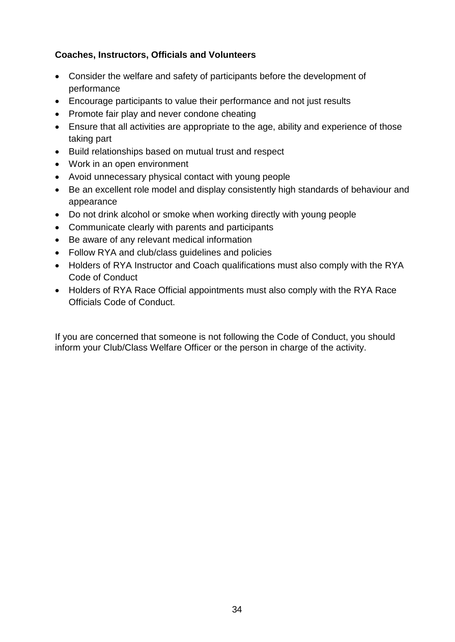# **Coaches, Instructors, Officials and Volunteers**

- Consider the welfare and safety of participants before the development of performance
- Encourage participants to value their performance and not just results
- Promote fair play and never condone cheating
- Ensure that all activities are appropriate to the age, ability and experience of those taking part
- Build relationships based on mutual trust and respect
- Work in an open environment
- Avoid unnecessary physical contact with young people
- Be an excellent role model and display consistently high standards of behaviour and appearance
- Do not drink alcohol or smoke when working directly with young people
- Communicate clearly with parents and participants
- Be aware of any relevant medical information
- Follow RYA and club/class guidelines and policies
- Holders of RYA Instructor and Coach qualifications must also comply with the RYA Code of Conduct
- Holders of RYA Race Official appointments must also comply with the RYA Race Officials Code of Conduct.

If you are concerned that someone is not following the Code of Conduct, you should inform your Club/Class Welfare Officer or the person in charge of the activity.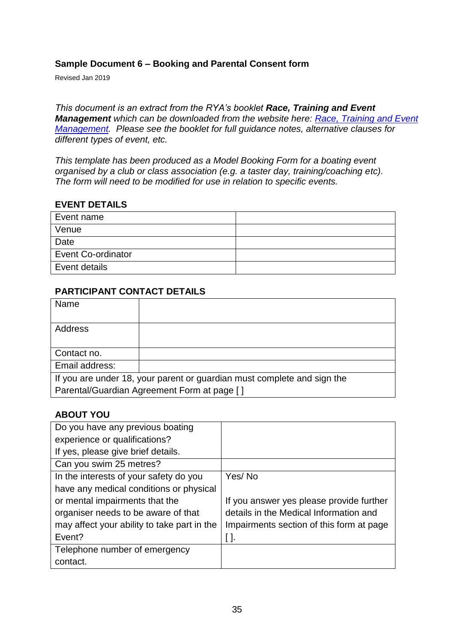# <span id="page-34-0"></span>**Sample Document 6 – Booking and Parental Consent form**

Revised Jan 2019

*This document is an extract from the RYA's booklet Race, Training and Event Management which can be downloaded from the website here: [Race, Training and Event](https://www.rya.org.uk/SiteCollectionDocuments/Club_Zone/06_Club_Mangement/05_Health_and_Safety/RYA%20RACE%20TRAINING%20AND%20EVENT%20MANAGEMENT%20-%20LEGAL%20ASPECTS.pdf)  [Management.](https://www.rya.org.uk/SiteCollectionDocuments/Club_Zone/06_Club_Mangement/05_Health_and_Safety/RYA%20RACE%20TRAINING%20AND%20EVENT%20MANAGEMENT%20-%20LEGAL%20ASPECTS.pdf) Please see the booklet for full guidance notes, alternative clauses for different types of event, etc.*

*This template has been produced as a Model Booking Form for a boating event organised by a club or class association (e.g. a taster day, training/coaching etc). The form will need to be modified for use in relation to specific events.*

#### **EVENT DETAILS**

| Event name                |  |
|---------------------------|--|
| Venue                     |  |
| Date                      |  |
| <b>Event Co-ordinator</b> |  |
| Event details             |  |

### **PARTICIPANT CONTACT DETAILS**

| Name                                                                    |  |  |
|-------------------------------------------------------------------------|--|--|
|                                                                         |  |  |
| Address                                                                 |  |  |
|                                                                         |  |  |
| Contact no.                                                             |  |  |
| Email address:                                                          |  |  |
| If you are under 18, your parent or guardian must complete and sign the |  |  |
| Parental/Guardian Agreement Form at page []                             |  |  |

# **ABOUT YOU**

| Do you have any previous boating            |                                          |
|---------------------------------------------|------------------------------------------|
| experience or qualifications?               |                                          |
| If yes, please give brief details.          |                                          |
| Can you swim 25 metres?                     |                                          |
| In the interests of your safety do you      | Yes/No                                   |
| have any medical conditions or physical     |                                          |
| or mental impairments that the              | If you answer yes please provide further |
| organiser needs to be aware of that         | details in the Medical Information and   |
| may affect your ability to take part in the | Impairments section of this form at page |
| Event?                                      | [].                                      |
| Telephone number of emergency               |                                          |
| contact.                                    |                                          |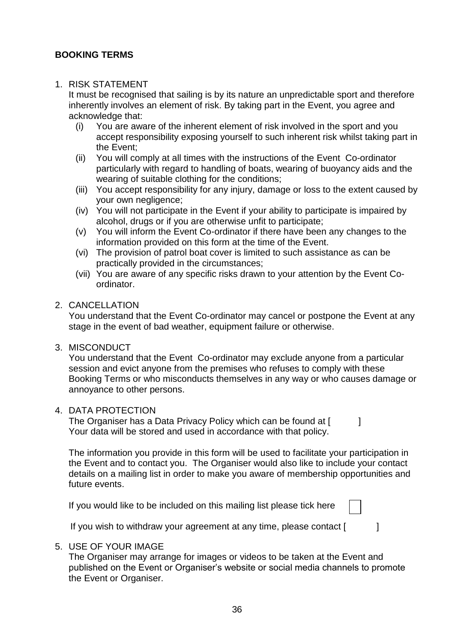# **BOOKING TERMS**

#### 1. RISK STATEMENT

It must be recognised that sailing is by its nature an unpredictable sport and therefore inherently involves an element of risk. By taking part in the Event, you agree and acknowledge that:

- (i) You are aware of the inherent element of risk involved in the sport and you accept responsibility exposing yourself to such inherent risk whilst taking part in the Event;
- (ii) You will comply at all times with the instructions of the Event Co-ordinator particularly with regard to handling of boats, wearing of buoyancy aids and the wearing of suitable clothing for the conditions;
- (iii) You accept responsibility for any injury, damage or loss to the extent caused by your own negligence;
- (iv) You will not participate in the Event if your ability to participate is impaired by alcohol, drugs or if you are otherwise unfit to participate;
- (v) You will inform the Event Co-ordinator if there have been any changes to the information provided on this form at the time of the Event.
- (vi) The provision of patrol boat cover is limited to such assistance as can be practically provided in the circumstances;
- (vii) You are aware of any specific risks drawn to your attention by the Event Coordinator.

#### 2. CANCELLATION

You understand that the Event Co-ordinator may cancel or postpone the Event at any stage in the event of bad weather, equipment failure or otherwise.

#### 3. MISCONDUCT

You understand that the Event Co-ordinator may exclude anyone from a particular session and evict anyone from the premises who refuses to comply with these Booking Terms or who misconducts themselves in any way or who causes damage or annoyance to other persons.

#### 4. DATA PROTECTION

The Organiser has a Data Privacy Policy which can be found at [ Your data will be stored and used in accordance with that policy.

The information you provide in this form will be used to facilitate your participation in the Event and to contact you. The Organiser would also like to include your contact details on a mailing list in order to make you aware of membership opportunities and future events.

| If you would like to be included on this mailing list please tick here |  |
|------------------------------------------------------------------------|--|
|------------------------------------------------------------------------|--|

If you wish to withdraw your agreement at any time, please contact  $\lceil$ 

### 5. USE OF YOUR IMAGE

The Organiser may arrange for images or videos to be taken at the Event and published on the Event or Organiser's website or social media channels to promote the Event or Organiser.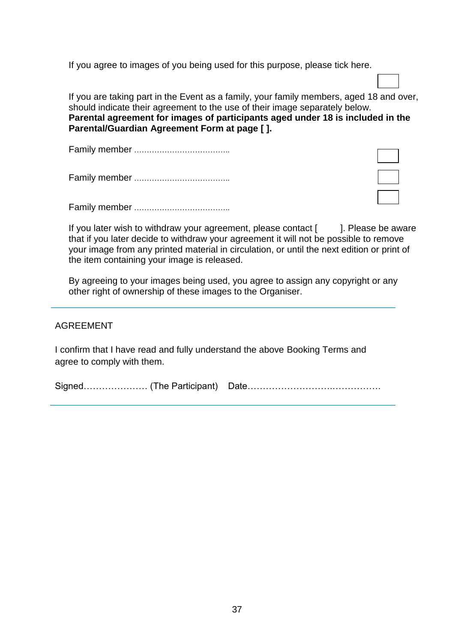If you agree to images of you being used for this purpose, please tick here.

If you are taking part in the Event as a family, your family members, aged 18 and over, should indicate their agreement to the use of their image separately below. **Parental agreement for images of participants aged under 18 is included in the Parental/Guardian Agreement Form at page [ ].**

Family member ………………………………..

Family member ………………………………..

Family member ………………………………..

If you later wish to withdraw your agreement, please contact [ ]. Please be aware that if you later decide to withdraw your agreement it will not be possible to remove your image from any printed material in circulation, or until the next edition or print of the item containing your image is released.

By agreeing to your images being used, you agree to assign any copyright or any other right of ownership of these images to the Organiser.

### AGREEMENT

I confirm that I have read and fully understand the above Booking Terms and agree to comply with them.

Signed………………… (The Participant) Date……………………….…………….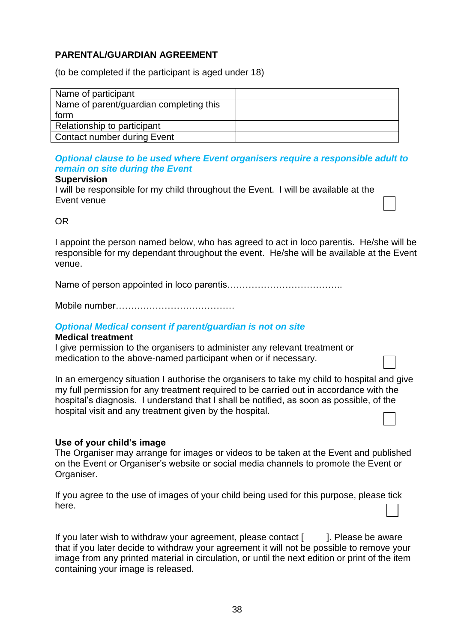# **PARENTAL/GUARDIAN AGREEMENT**

(to be completed if the participant is aged under 18)

| Name of participant                     |  |
|-----------------------------------------|--|
| Name of parent/guardian completing this |  |
| form                                    |  |
| Relationship to participant             |  |
| Contact number during Event             |  |

# *Optional clause to be used where Event organisers require a responsible adult to remain on site during the Event*

#### **Supervision**

I will be responsible for my child throughout the Event. I will be available at the Event venue

OR

I appoint the person named below, who has agreed to act in loco parentis. He/she will be responsible for my dependant throughout the event. He/she will be available at the Event venue.

Name of person appointed in loco parentis………………………………..

Mobile number…………………………………

# *Optional Medical consent if parent/guardian is not on site*

### **Medical treatment**

I give permission to the organisers to administer any relevant treatment or medication to the above-named participant when or if necessary.

In an emergency situation I authorise the organisers to take my child to hospital and give my full permission for any treatment required to be carried out in accordance with the hospital's diagnosis. I understand that I shall be notified, as soon as possible, of the hospital visit and any treatment given by the hospital.

### **Use of your child's image**

The Organiser may arrange for images or videos to be taken at the Event and published on the Event or Organiser's website or social media channels to promote the Event or Organiser.

If you agree to the use of images of your child being used for this purpose, please tick here.

If you later wish to withdraw your agreement, please contact  $\lceil \cdot \cdot \cdot \rceil$ . Please be aware that if you later decide to withdraw your agreement it will not be possible to remove your image from any printed material in circulation, or until the next edition or print of the item containing your image is released.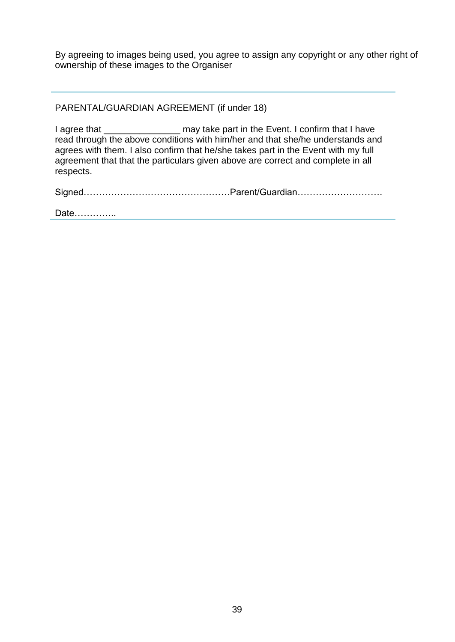By agreeing to images being used, you agree to assign any copyright or any other right of ownership of these images to the Organiser

## PARENTAL/GUARDIAN AGREEMENT (if under 18)

I agree that \_\_\_\_\_\_\_\_\_\_\_\_\_\_\_\_\_\_ may take part in the Event. I confirm that I have read through the above conditions with him/her and that she/he understands and agrees with them. I also confirm that he/she takes part in the Event with my full agreement that that the particulars given above are correct and complete in all respects.

Signed…………………………………………Parent/Guardian……………………….

Date…………..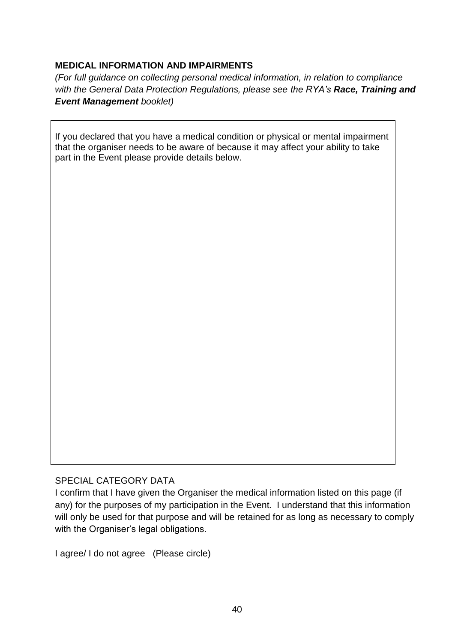# **MEDICAL INFORMATION AND IMPAIRMENTS**

*(For full guidance on collecting personal medical information, in relation to compliance with the General Data Protection Regulations, please see the RYA's Race, Training and Event Management booklet)*

If you declared that you have a medical condition or physical or mental impairment that the organiser needs to be aware of because it may affect your ability to take part in the Event please provide details below.

# SPECIAL CATEGORY DATA

I confirm that I have given the Organiser the medical information listed on this page (if any) for the purposes of my participation in the Event. I understand that this information will only be used for that purpose and will be retained for as long as necessary to comply with the Organiser's legal obligations.

I agree/ I do not agree (Please circle)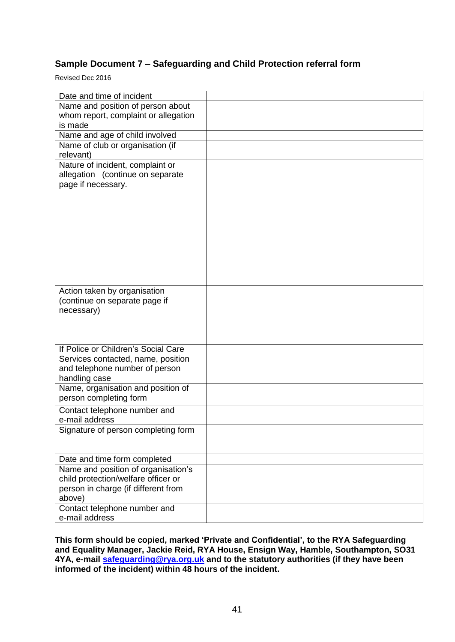# <span id="page-40-0"></span>**Sample Document 7 – Safeguarding and Child Protection referral form**

Revised Dec 2016

| Date and time of incident            |  |
|--------------------------------------|--|
| Name and position of person about    |  |
| whom report, complaint or allegation |  |
| is made                              |  |
| Name and age of child involved       |  |
| Name of club or organisation (if     |  |
| relevant)                            |  |
| Nature of incident, complaint or     |  |
| allegation (continue on separate     |  |
| page if necessary.                   |  |
|                                      |  |
|                                      |  |
|                                      |  |
|                                      |  |
|                                      |  |
|                                      |  |
|                                      |  |
|                                      |  |
|                                      |  |
|                                      |  |
| Action taken by organisation         |  |
| (continue on separate page if        |  |
| necessary)                           |  |
|                                      |  |
|                                      |  |
|                                      |  |
| If Police or Children's Social Care  |  |
| Services contacted, name, position   |  |
| and telephone number of person       |  |
| handling case                        |  |
| Name, organisation and position of   |  |
| person completing form               |  |
| Contact telephone number and         |  |
| e-mail address                       |  |
| Signature of person completing form  |  |
|                                      |  |
|                                      |  |
| Date and time form completed         |  |
| Name and position of organisation's  |  |
| child protection/welfare officer or  |  |
| person in charge (if different from  |  |
| above)                               |  |
| Contact telephone number and         |  |
| e-mail address                       |  |

**This form should be copied, marked 'Private and Confidential', to the RYA Safeguarding and Equality Manager, Jackie Reid, RYA House, Ensign Way, Hamble, Southampton, SO31 4YA, e-mail [safeguarding@rya.org.uk](mailto:safeguarding@rya.org.uk) and to the statutory authorities (if they have been informed of the incident) within 48 hours of the incident.**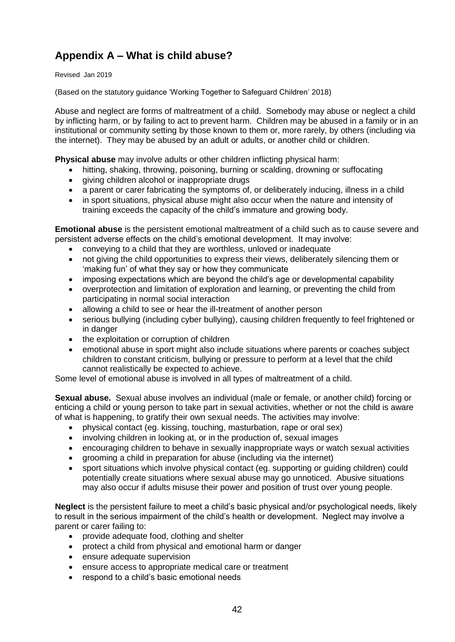# <span id="page-41-0"></span>**Appendix A – What is child abuse?**

#### Revised Jan 2019

(Based on the statutory guidance 'Working Together to Safeguard Children' 2018)

Abuse and neglect are forms of maltreatment of a child. Somebody may abuse or neglect a child by inflicting harm, or by failing to act to prevent harm. Children may be abused in a family or in an institutional or community setting by those known to them or, more rarely, by others (including via the internet). They may be abused by an adult or adults, or another child or children.

**Physical abuse** may involve adults or other children inflicting physical harm:

- hitting, shaking, throwing, poisoning, burning or scalding, drowning or suffocating
- aiving children alcohol or inappropriate drugs
- a parent or carer fabricating the symptoms of, or deliberately inducing, illness in a child
- in sport situations, physical abuse might also occur when the nature and intensity of training exceeds the capacity of the child's immature and growing body.

**Emotional abuse** is the persistent emotional maltreatment of a child such as to cause severe and persistent adverse effects on the child's emotional development. It may involve:

- conveying to a child that they are worthless, unloved or inadequate
- not giving the child opportunities to express their views, deliberately silencing them or 'making fun' of what they say or how they communicate
- imposing expectations which are beyond the child's age or developmental capability
- overprotection and limitation of exploration and learning, or preventing the child from participating in normal social interaction
- allowing a child to see or hear the ill-treatment of another person
- serious bullying (including cyber bullying), causing children frequently to feel frightened or in danger
- the exploitation or corruption of children
- emotional abuse in sport might also include situations where parents or coaches subject children to constant criticism, bullying or pressure to perform at a level that the child cannot realistically be expected to achieve.

Some level of emotional abuse is involved in all types of maltreatment of a child.

**Sexual abuse.** Sexual abuse involves an individual (male or female, or another child) forcing or enticing a child or young person to take part in sexual activities, whether or not the child is aware of what is happening, to gratify their own sexual needs. The activities may involve:

- physical contact (eg. kissing, touching, masturbation, rape or oral sex)
- involving children in looking at, or in the production of, sexual images
- encouraging children to behave in sexually inappropriate ways or watch sexual activities
- grooming a child in preparation for abuse (including via the internet)
- sport situations which involve physical contact (eg. supporting or guiding children) could potentially create situations where sexual abuse may go unnoticed. Abusive situations may also occur if adults misuse their power and position of trust over young people.

**Neglect** is the persistent failure to meet a child's basic physical and/or psychological needs, likely to result in the serious impairment of the child's health or development. Neglect may involve a parent or carer failing to:

- provide adequate food, clothing and shelter
- protect a child from physical and emotional harm or danger
- ensure adequate supervision
- ensure access to appropriate medical care or treatment
- respond to a child's basic emotional needs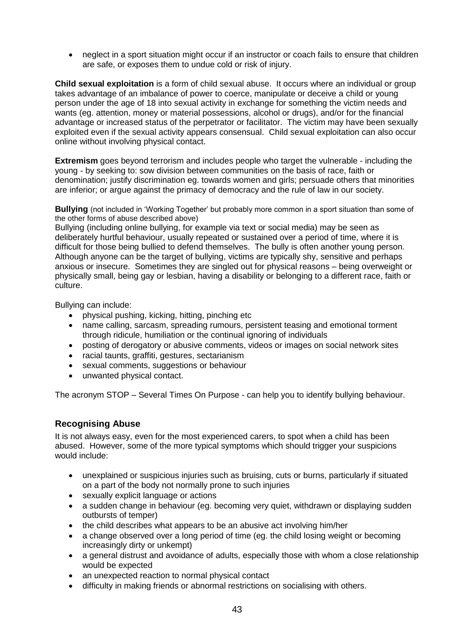neglect in a sport situation might occur if an instructor or coach fails to ensure that children are safe, or exposes them to undue cold or risk of injury.

**Child sexual exploitation** is a form of child sexual abuse. It occurs where an individual or group takes advantage of an imbalance of power to coerce, manipulate or deceive a child or young person under the age of 18 into sexual activity in exchange for something the victim needs and wants (eg. attention, money or material possessions, alcohol or drugs), and/or for the financial advantage or increased status of the perpetrator or facilitator. The victim may have been sexually exploited even if the sexual activity appears consensual. Child sexual exploitation can also occur online without involving physical contact.

**Extremism** goes beyond terrorism and includes people who target the vulnerable - including the young - by seeking to: sow division between communities on the basis of race, faith or denomination; justify discrimination eg. towards women and girls; persuade others that minorities are inferior; or argue against the primacy of democracy and the rule of law in our society.

**Bullying** (not included in 'Working Together' but probably more common in a sport situation than some of the other forms of abuse described above)

Bullying (including online bullying, for example via text or social media) may be seen as deliberately hurtful behaviour, usually repeated or sustained over a period of time, where it is difficult for those being bullied to defend themselves. The bully is often another young person. Although anyone can be the target of bullying, victims are typically shy, sensitive and perhaps anxious or insecure. Sometimes they are singled out for physical reasons – being overweight or physically small, being gay or lesbian, having a disability or belonging to a different race, faith or culture.

Bullying can include:

- physical pushing, kicking, hitting, pinching etc
- name calling, sarcasm, spreading rumours, persistent teasing and emotional torment through ridicule, humiliation or the continual ignoring of individuals
- posting of derogatory or abusive comments, videos or images on social network sites
- racial taunts, graffiti, gestures, sectarianism
- sexual comments, suggestions or behaviour
- unwanted physical contact.

The acronym STOP – Several Times On Purpose - can help you to identify bullying behaviour.

#### **Recognising Abuse**

It is not always easy, even for the most experienced carers, to spot when a child has been abused. However, some of the more typical symptoms which should trigger your suspicions would include:

- unexplained or suspicious injuries such as bruising, cuts or burns, particularly if situated on a part of the body not normally prone to such injuries
- sexually explicit language or actions
- a sudden change in behaviour (eg. becoming very quiet, withdrawn or displaying sudden outbursts of temper)
- the child describes what appears to be an abusive act involving him/her
- a change observed over a long period of time (eg. the child losing weight or becoming increasingly dirty or unkempt)
- a general distrust and avoidance of adults, especially those with whom a close relationship would be expected
- an unexpected reaction to normal physical contact
- difficulty in making friends or abnormal restrictions on socialising with others.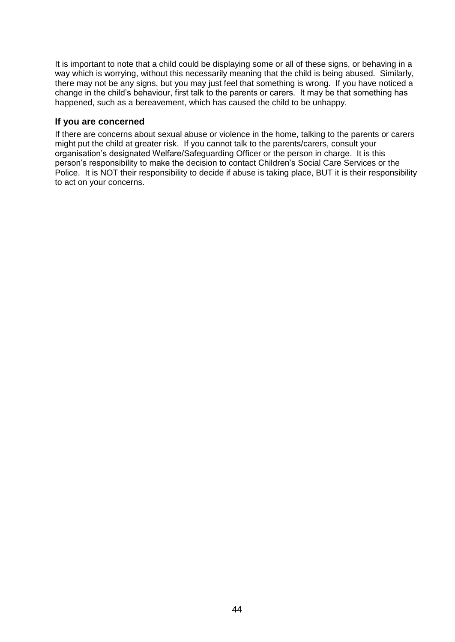It is important to note that a child could be displaying some or all of these signs, or behaving in a way which is worrying, without this necessarily meaning that the child is being abused. Similarly, there may not be any signs, but you may just feel that something is wrong. If you have noticed a change in the child's behaviour, first talk to the parents or carers. It may be that something has happened, such as a bereavement, which has caused the child to be unhappy.

#### **If you are concerned**

If there are concerns about sexual abuse or violence in the home, talking to the parents or carers might put the child at greater risk. If you cannot talk to the parents/carers, consult your organisation's designated Welfare/Safeguarding Officer or the person in charge. It is this person's responsibility to make the decision to contact Children's Social Care Services or the Police. It is NOT their responsibility to decide if abuse is taking place, BUT it is their responsibility to act on your concerns.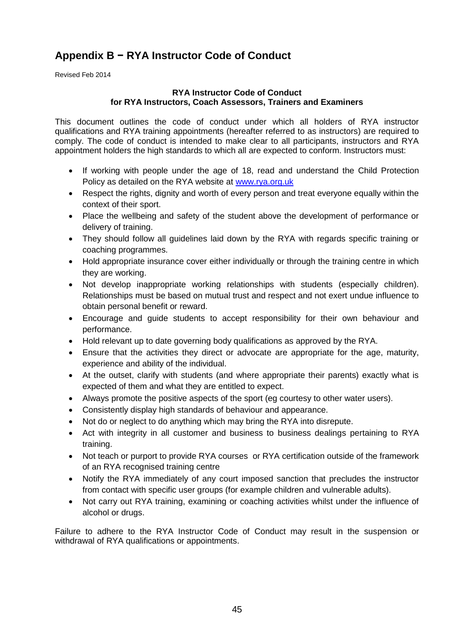# <span id="page-44-0"></span>**Appendix B − RYA Instructor Code of Conduct**

Revised Feb 2014

#### **RYA Instructor Code of Conduct for RYA Instructors, Coach Assessors, Trainers and Examiners**

This document outlines the code of conduct under which all holders of RYA instructor qualifications and RYA training appointments (hereafter referred to as instructors) are required to comply. The code of conduct is intended to make clear to all participants, instructors and RYA appointment holders the high standards to which all are expected to conform. Instructors must:

- If working with people under the age of 18, read and understand the Child Protection Policy as detailed on the RYA website at [www.rya.org.uk](http://www.rya.org.uk/)
- Respect the rights, dignity and worth of every person and treat everyone equally within the context of their sport.
- Place the wellbeing and safety of the student above the development of performance or delivery of training.
- They should follow all guidelines laid down by the RYA with regards specific training or coaching programmes.
- Hold appropriate insurance cover either individually or through the training centre in which they are working.
- Not develop inappropriate working relationships with students (especially children). Relationships must be based on mutual trust and respect and not exert undue influence to obtain personal benefit or reward.
- Encourage and guide students to accept responsibility for their own behaviour and performance.
- Hold relevant up to date governing body qualifications as approved by the RYA.
- Ensure that the activities they direct or advocate are appropriate for the age, maturity, experience and ability of the individual.
- At the outset, clarify with students (and where appropriate their parents) exactly what is expected of them and what they are entitled to expect.
- Always promote the positive aspects of the sport (eg courtesy to other water users).
- Consistently display high standards of behaviour and appearance.
- Not do or neglect to do anything which may bring the RYA into disrepute.
- Act with integrity in all customer and business to business dealings pertaining to RYA training.
- Not teach or purport to provide RYA courses or RYA certification outside of the framework of an RYA recognised training centre
- Notify the RYA immediately of any court imposed sanction that precludes the instructor from contact with specific user groups (for example children and vulnerable adults).
- Not carry out RYA training, examining or coaching activities whilst under the influence of alcohol or drugs.

Failure to adhere to the RYA Instructor Code of Conduct may result in the suspension or withdrawal of RYA qualifications or appointments.